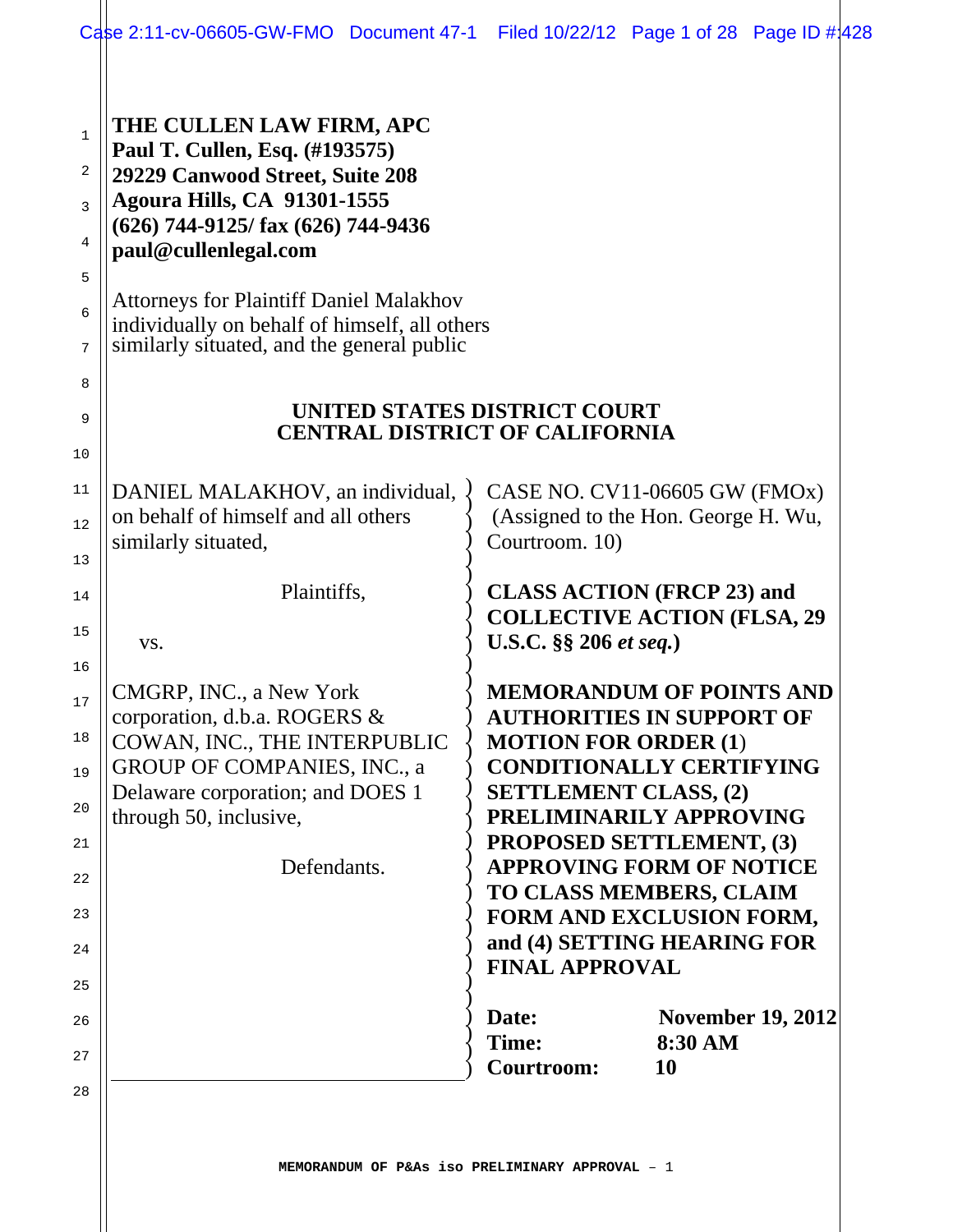|                                                                                                                | Case 2:11-cv-06605-GW-FMO Document 47-1                                                                                                                                                                                                                                                                                                               | Filed 10/22/12 Page 1 of 28 Page ID #1428                                                                                                                                                                                                                                                                                                                                                                                                                                                                                                                                                                             |               |                          |
|----------------------------------------------------------------------------------------------------------------|-------------------------------------------------------------------------------------------------------------------------------------------------------------------------------------------------------------------------------------------------------------------------------------------------------------------------------------------------------|-----------------------------------------------------------------------------------------------------------------------------------------------------------------------------------------------------------------------------------------------------------------------------------------------------------------------------------------------------------------------------------------------------------------------------------------------------------------------------------------------------------------------------------------------------------------------------------------------------------------------|---------------|--------------------------|
| 1<br>2<br>3<br>4<br>5<br>6<br>7<br>8<br>9                                                                      | THE CULLEN LAW FIRM, APC<br>Paul T. Cullen, Esq. (#193575)<br>29229 Canwood Street, Suite 208<br><b>Agoura Hills, CA 91301-1555</b><br>$(626)$ 744-9125/fax $(626)$ 744-9436<br>paul@cullenlegal.com<br><b>Attorneys for Plaintiff Daniel Malakhov</b><br>individually on behalf of himself, all others<br>similarly situated, and the general public | UNITED STATES DISTRICT COURT<br><b>CENTRAL DISTRICT OF CALIFORNIA</b>                                                                                                                                                                                                                                                                                                                                                                                                                                                                                                                                                 |               |                          |
| 10<br>11<br>12<br>13<br>14<br>15<br>16<br>17<br>18<br>19<br>20<br>21<br>22<br>23<br>24<br>25<br>26<br>27<br>28 | DANIEL MALAKHOV, an individual,<br>on behalf of himself and all others<br>similarly situated,<br>Plaintiffs,<br>VS.<br>CMGRP, INC., a New York<br>corporation, d.b.a. ROGERS &<br>COWAN, INC., THE INTERPUBLIC<br><b>GROUP OF COMPANIES, INC., a</b><br>Delaware corporation; and DOES 1<br>through 50, inclusive,<br>Defendants.                     | CASE NO. CV11-06605 GW (FMOx)<br>(Assigned to the Hon. George H. Wu,<br>Courtroom. 10)<br><b>CLASS ACTION (FRCP 23) and</b><br><b>COLLECTIVE ACTION (FLSA, 29)</b><br>U.S.C. §§ 206 et seq.)<br><b>MEMORANDUM OF POINTS AND</b><br><b>AUTHORITIES IN SUPPORT OF</b><br><b>MOTION FOR ORDER (1)</b><br><b>CONDITIONALLY CERTIFYING</b><br><b>SETTLEMENT CLASS, (2)</b><br>PRELIMINARILY APPROVING<br><b>PROPOSED SETTLEMENT, (3)</b><br><b>APPROVING FORM OF NOTICE</b><br>TO CLASS MEMBERS, CLAIM<br>FORM AND EXCLUSION FORM,<br>and (4) SETTING HEARING FOR<br><b>FINAL APPROVAL</b><br>Date:<br>Time:<br>Courtroom: | 8:30 AM<br>10 | <b>November 19, 2012</b> |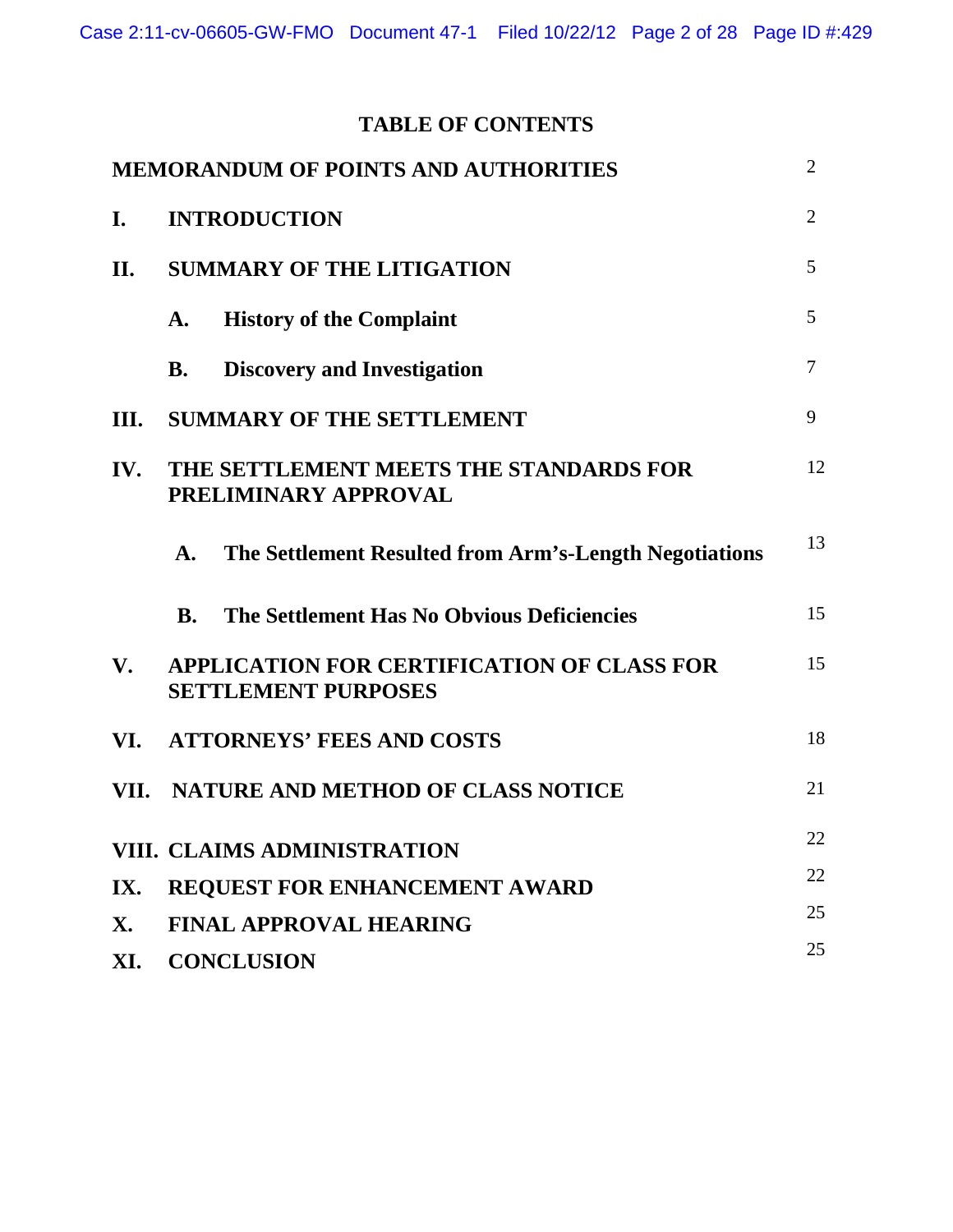# **TABLE OF CONTENTS**

| <b>MEMORANDUM OF POINTS AND AUTHORITIES</b>                                                               | $\overline{2}$ |
|-----------------------------------------------------------------------------------------------------------|----------------|
| <b>INTRODUCTION</b><br>I.                                                                                 | $\overline{2}$ |
| <b>SUMMARY OF THE LITIGATION</b><br>II.                                                                   | 5              |
| <b>History of the Complaint</b><br>A.                                                                     | 5              |
| <b>Discovery and Investigation</b><br><b>B.</b>                                                           | $\tau$         |
| <b>SUMMARY OF THE SETTLEMENT</b><br>III.                                                                  | 9              |
| THE SETTLEMENT MEETS THE STANDARDS FOR<br>IV.<br>PRELIMINARY APPROVAL                                     | 12             |
| The Settlement Resulted from Arm's-Length Negotiations<br>$\mathbf{A}$ .                                  | 13             |
| The Settlement Has No Obvious Deficiencies<br><b>B.</b>                                                   | 15             |
| <b>APPLICATION FOR CERTIFICATION OF CLASS FOR</b><br>$\mathbf{V}_{\bullet}$<br><b>SETTLEMENT PURPOSES</b> | 15             |
| <b>ATTORNEYS' FEES AND COSTS</b><br>VI.                                                                   | 18             |
| VII. NATURE AND METHOD OF CLASS NOTICE                                                                    | 21             |
| VIII. CLAIMS ADMINISTRATION                                                                               | 22             |
| REQUEST FOR ENHANCEMENT AWARD<br>IX.                                                                      | 22             |
| <b>FINAL APPROVAL HEARING</b><br>X.                                                                       | 25             |
| <b>CONCLUSION</b><br>XI.                                                                                  | 25             |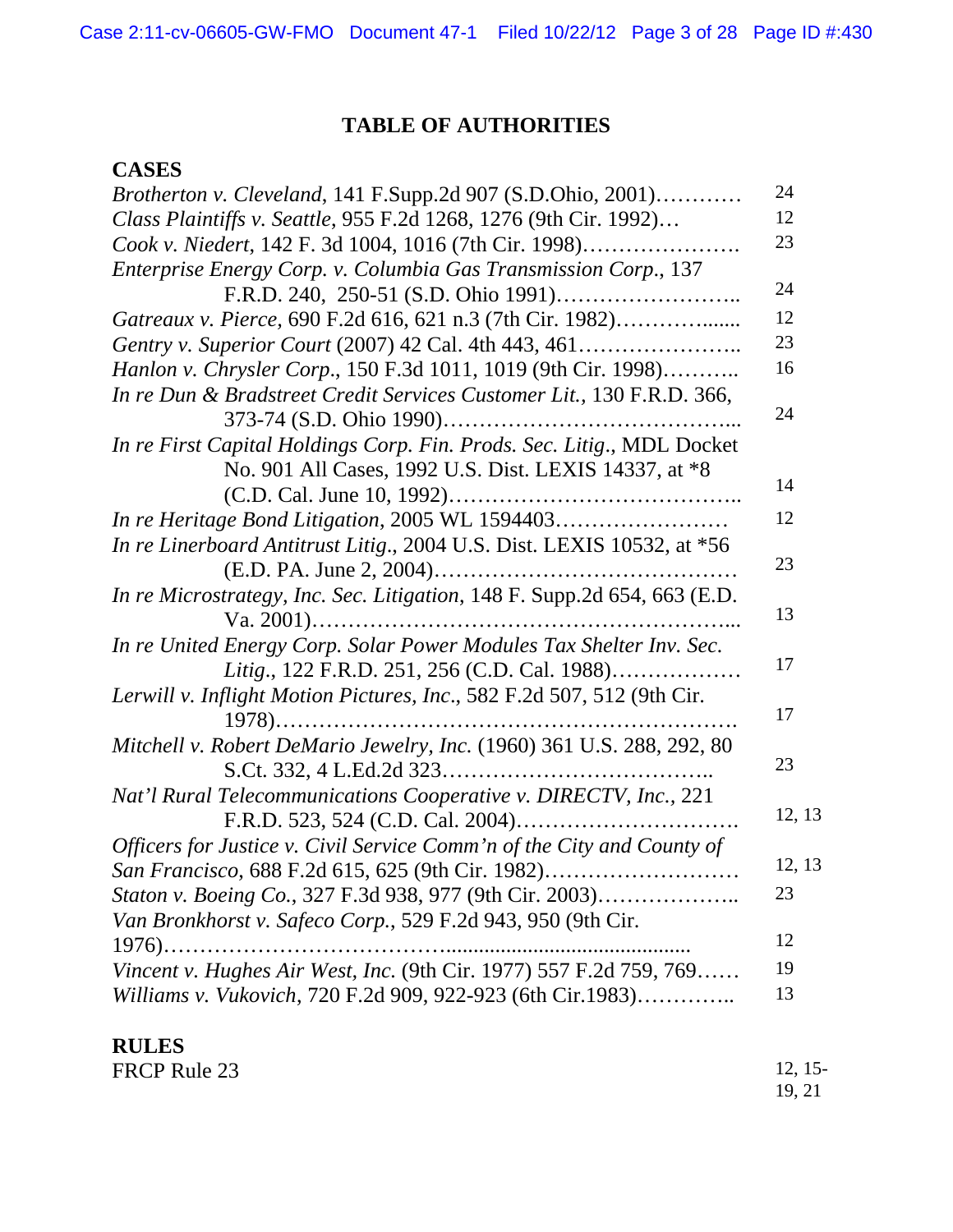# **TABLE OF AUTHORITIES**

# **CASES**

| <i>Brotherton v. Cleveland</i> , 141 F.Supp.2d 907 (S.D.Ohio, 2001)      | 24     |  |  |  |
|--------------------------------------------------------------------------|--------|--|--|--|
| Class Plaintiffs v. Seattle, 955 F.2d 1268, 1276 (9th Cir. 1992)         |        |  |  |  |
| Cook v. Niedert, 142 F. 3d 1004, 1016 (7th Cir. 1998)                    | 23     |  |  |  |
| Enterprise Energy Corp. v. Columbia Gas Transmission Corp., 137          |        |  |  |  |
|                                                                          | 24     |  |  |  |
| Gatreaux v. Pierce, 690 F.2d 616, 621 n.3 (7th Cir. 1982)                | 12     |  |  |  |
|                                                                          | 23     |  |  |  |
| Hanlon v. Chrysler Corp., 150 F.3d 1011, 1019 (9th Cir. 1998)            | 16     |  |  |  |
| In re Dun & Bradstreet Credit Services Customer Lit., 130 F.R.D. 366,    |        |  |  |  |
|                                                                          | 24     |  |  |  |
| In re First Capital Holdings Corp. Fin. Prods. Sec. Litig., MDL Docket   |        |  |  |  |
| No. 901 All Cases, 1992 U.S. Dist. LEXIS 14337, at *8                    |        |  |  |  |
|                                                                          | 14     |  |  |  |
| In re Heritage Bond Litigation, 2005 WL 1594403                          | 12     |  |  |  |
| In re Linerboard Antitrust Litig., 2004 U.S. Dist. LEXIS 10532, at *56   |        |  |  |  |
| (E.D. PA. June 2, 2004)                                                  | 23     |  |  |  |
| In re Microstrategy, Inc. Sec. Litigation, 148 F. Supp.2d 654, 663 (E.D. |        |  |  |  |
|                                                                          | 13     |  |  |  |
| In re United Energy Corp. Solar Power Modules Tax Shelter Inv. Sec.      |        |  |  |  |
| Litig., 122 F.R.D. 251, 256 (C.D. Cal. 1988)                             | 17     |  |  |  |
| Lerwill v. Inflight Motion Pictures, Inc., 582 F.2d 507, 512 (9th Cir.   |        |  |  |  |
|                                                                          | 17     |  |  |  |
| Mitchell v. Robert DeMario Jewelry, Inc. (1960) 361 U.S. 288, 292, 80    |        |  |  |  |
|                                                                          | 23     |  |  |  |
| Nat'l Rural Telecommunications Cooperative v. DIRECTV, Inc., 221         |        |  |  |  |
| F.R.D. 523, 524 (C.D. Cal. 2004)                                         | 12, 13 |  |  |  |
| Officers for Justice v. Civil Service Comm'n of the City and County of   |        |  |  |  |
| San Francisco, 688 F.2d 615, 625 (9th Cir. 1982)                         | 12, 13 |  |  |  |
| <i>Staton v. Boeing Co., 327 F.3d 938, 977 (9th Cir. 2003)</i>           |        |  |  |  |
| Van Bronkhorst v. Safeco Corp., 529 F.2d 943, 950 (9th Cir.              |        |  |  |  |
| $1976)$                                                                  | 12     |  |  |  |
| Vincent v. Hughes Air West, Inc. (9th Cir. 1977) 557 F.2d 759, 769       | 19     |  |  |  |
| Williams v. Vukovich, 720 F.2d 909, 922-923 (6th Cir.1983)               | 13     |  |  |  |
|                                                                          |        |  |  |  |

| <b>RULES</b> |           |
|--------------|-----------|
| FRCP Rule 23 | $12, 15-$ |
|              | 19.21     |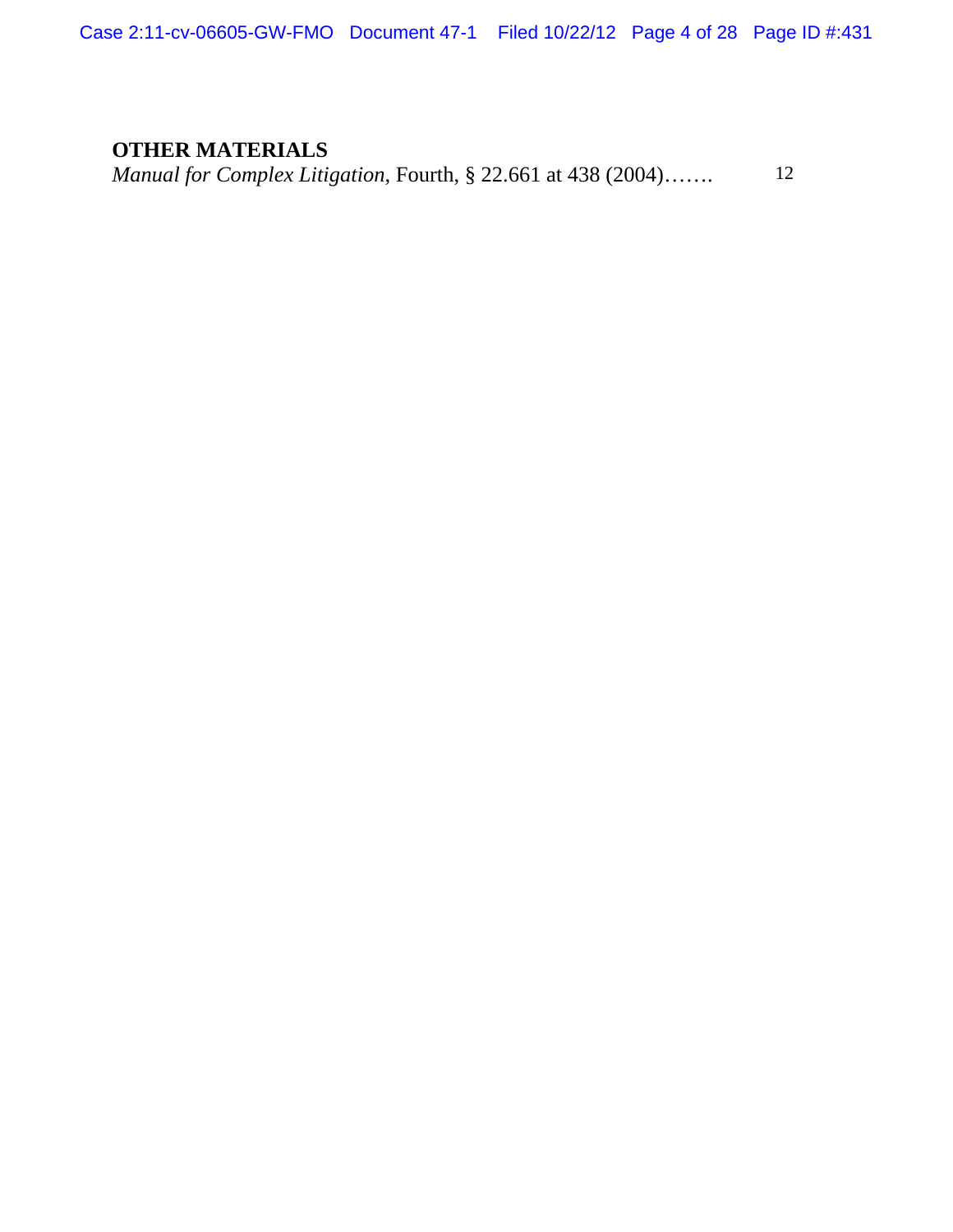Case 2:11-cv-06605-GW-FMO Document 47-1 Filed 10/22/12 Page 4 of 28 Page ID #:431

# **OTHER MATERIALS**

*Manual for Complex Litigation*, Fourth, § 22.661 at 438 (2004)……. 12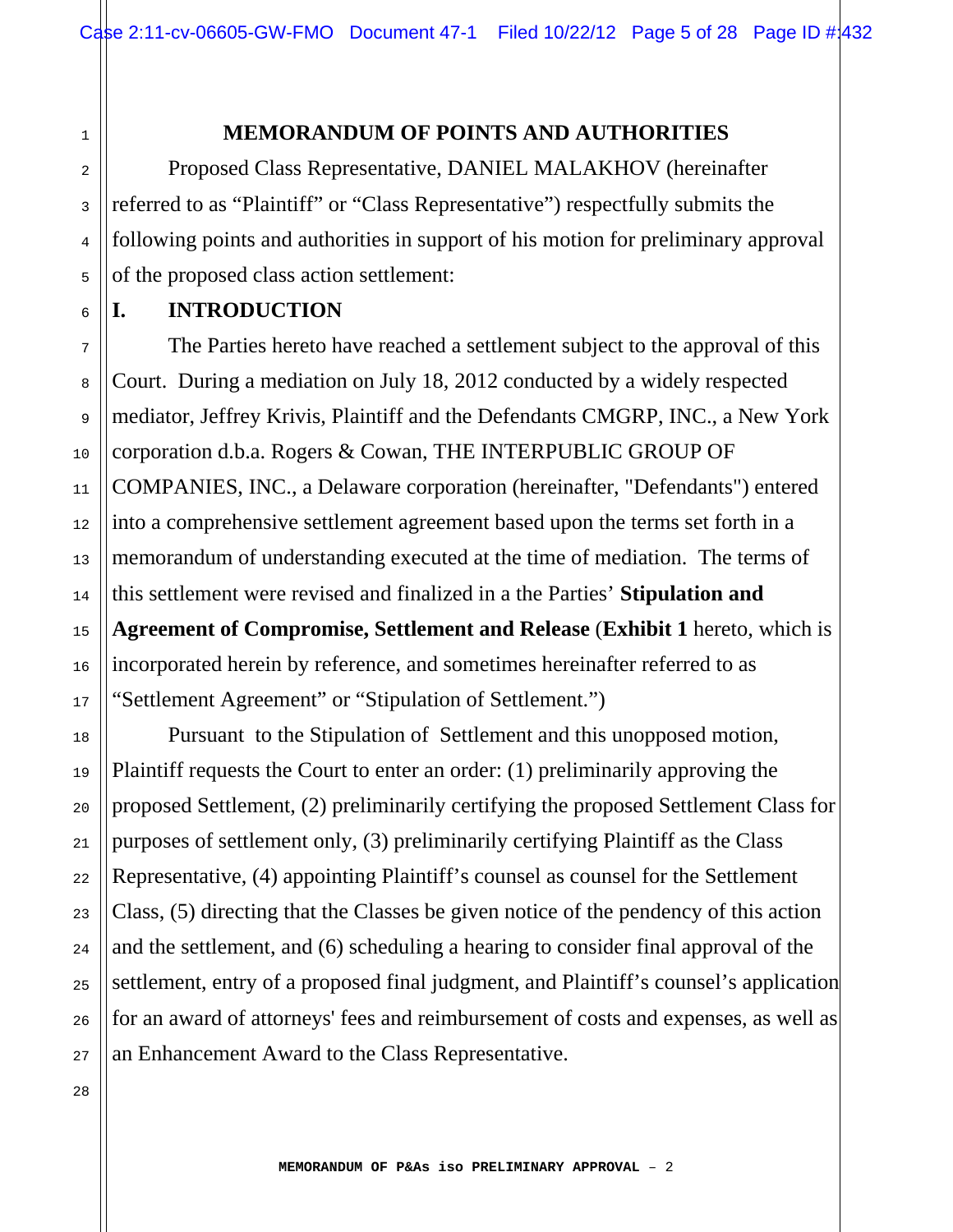#### **MEMORANDUM OF POINTS AND AUTHORITIES**

Proposed Class Representative, DANIEL MALAKHOV (hereinafter referred to as "Plaintiff" or "Class Representative") respectfully submits the following points and authorities in support of his motion for preliminary approval of the proposed class action settlement:

## **I. INTRODUCTION**

 The Parties hereto have reached a settlement subject to the approval of this Court. During a mediation on July 18, 2012 conducted by a widely respected mediator, Jeffrey Krivis, Plaintiff and the Defendants CMGRP, INC., a New York corporation d.b.a. Rogers & Cowan, THE INTERPUBLIC GROUP OF COMPANIES, INC., a Delaware corporation (hereinafter, "Defendants") entered into a comprehensive settlement agreement based upon the terms set forth in a memorandum of understanding executed at the time of mediation. The terms of this settlement were revised and finalized in a the Parties' **Stipulation and Agreement of Compromise, Settlement and Release** (**Exhibit 1** hereto, which is incorporated herein by reference, and sometimes hereinafter referred to as "Settlement Agreement" or "Stipulation of Settlement.")

 Pursuant to the Stipulation of Settlement and this unopposed motion, Plaintiff requests the Court to enter an order: (1) preliminarily approving the proposed Settlement, (2) preliminarily certifying the proposed Settlement Class for purposes of settlement only, (3) preliminarily certifying Plaintiff as the Class Representative, (4) appointing Plaintiff's counsel as counsel for the Settlement Class, (5) directing that the Classes be given notice of the pendency of this action and the settlement, and (6) scheduling a hearing to consider final approval of the settlement, entry of a proposed final judgment, and Plaintiff's counsel's application for an award of attorneys' fees and reimbursement of costs and expenses, as well as an Enhancement Award to the Class Representative.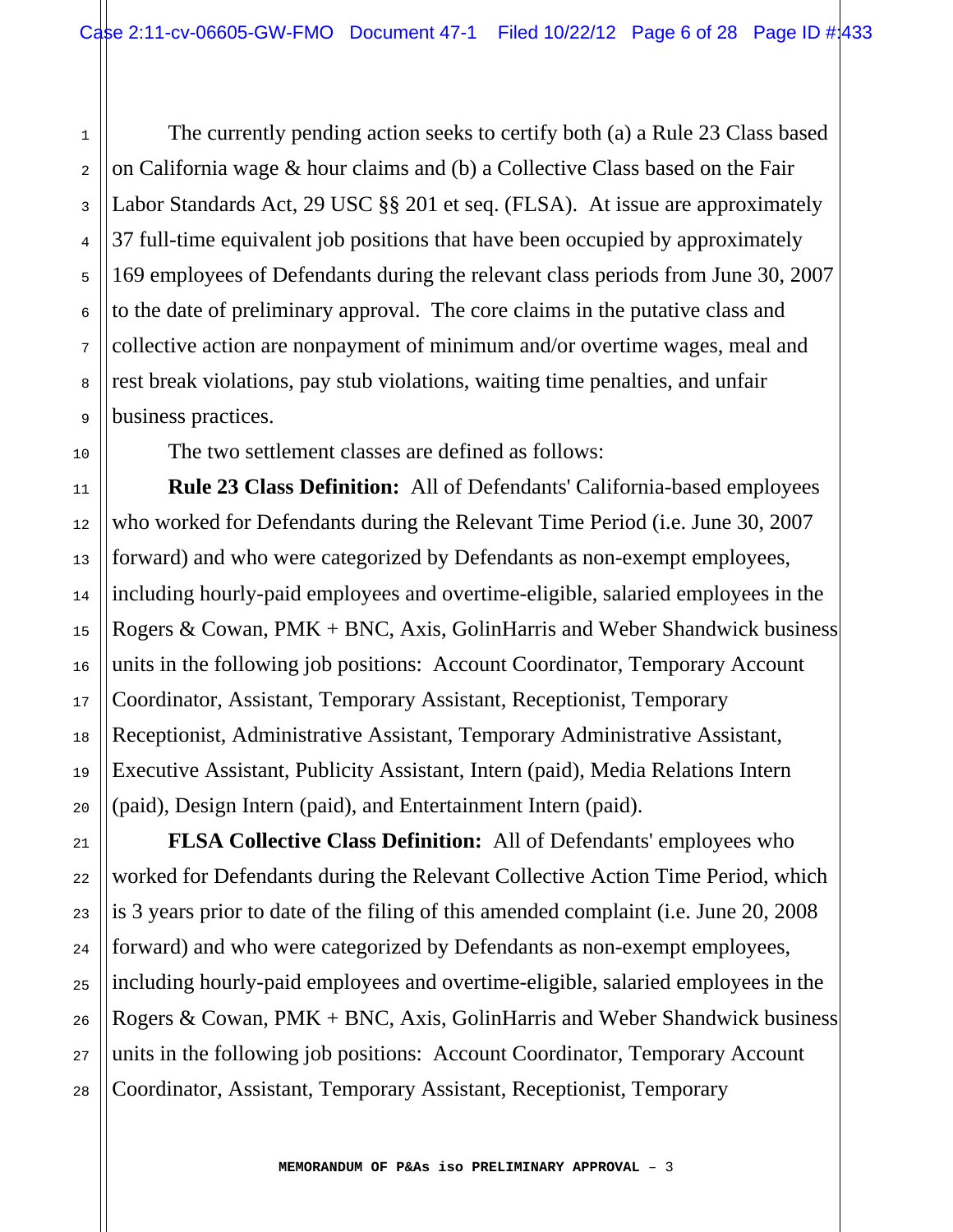The currently pending action seeks to certify both (a) a Rule 23 Class based on California wage & hour claims and (b) a Collective Class based on the Fair Labor Standards Act, 29 USC §§ 201 et seq. (FLSA). At issue are approximately 37 full-time equivalent job positions that have been occupied by approximately 169 employees of Defendants during the relevant class periods from June 30, 2007 to the date of preliminary approval. The core claims in the putative class and collective action are nonpayment of minimum and/or overtime wages, meal and rest break violations, pay stub violations, waiting time penalties, and unfair business practices.

The two settlement classes are defined as follows:

 **Rule 23 Class Definition:** All of Defendants' California-based employees who worked for Defendants during the Relevant Time Period (i.e. June 30, 2007 forward) and who were categorized by Defendants as non-exempt employees, including hourly-paid employees and overtime-eligible, salaried employees in the Rogers & Cowan, PMK + BNC, Axis, GolinHarris and Weber Shandwick business units in the following job positions: Account Coordinator, Temporary Account Coordinator, Assistant, Temporary Assistant, Receptionist, Temporary Receptionist, Administrative Assistant, Temporary Administrative Assistant, Executive Assistant, Publicity Assistant, Intern (paid), Media Relations Intern (paid), Design Intern (paid), and Entertainment Intern (paid).

 **FLSA Collective Class Definition:** All of Defendants' employees who worked for Defendants during the Relevant Collective Action Time Period, which is 3 years prior to date of the filing of this amended complaint (i.e. June 20, 2008 forward) and who were categorized by Defendants as non-exempt employees, including hourly-paid employees and overtime-eligible, salaried employees in the Rogers & Cowan, PMK + BNC, Axis, GolinHarris and Weber Shandwick business units in the following job positions: Account Coordinator, Temporary Account Coordinator, Assistant, Temporary Assistant, Receptionist, Temporary

1

2

3

4

5

6

7

8

9

10

11

12

13

14

15

16

17

18

19

20

21

22

23

24

25

26

27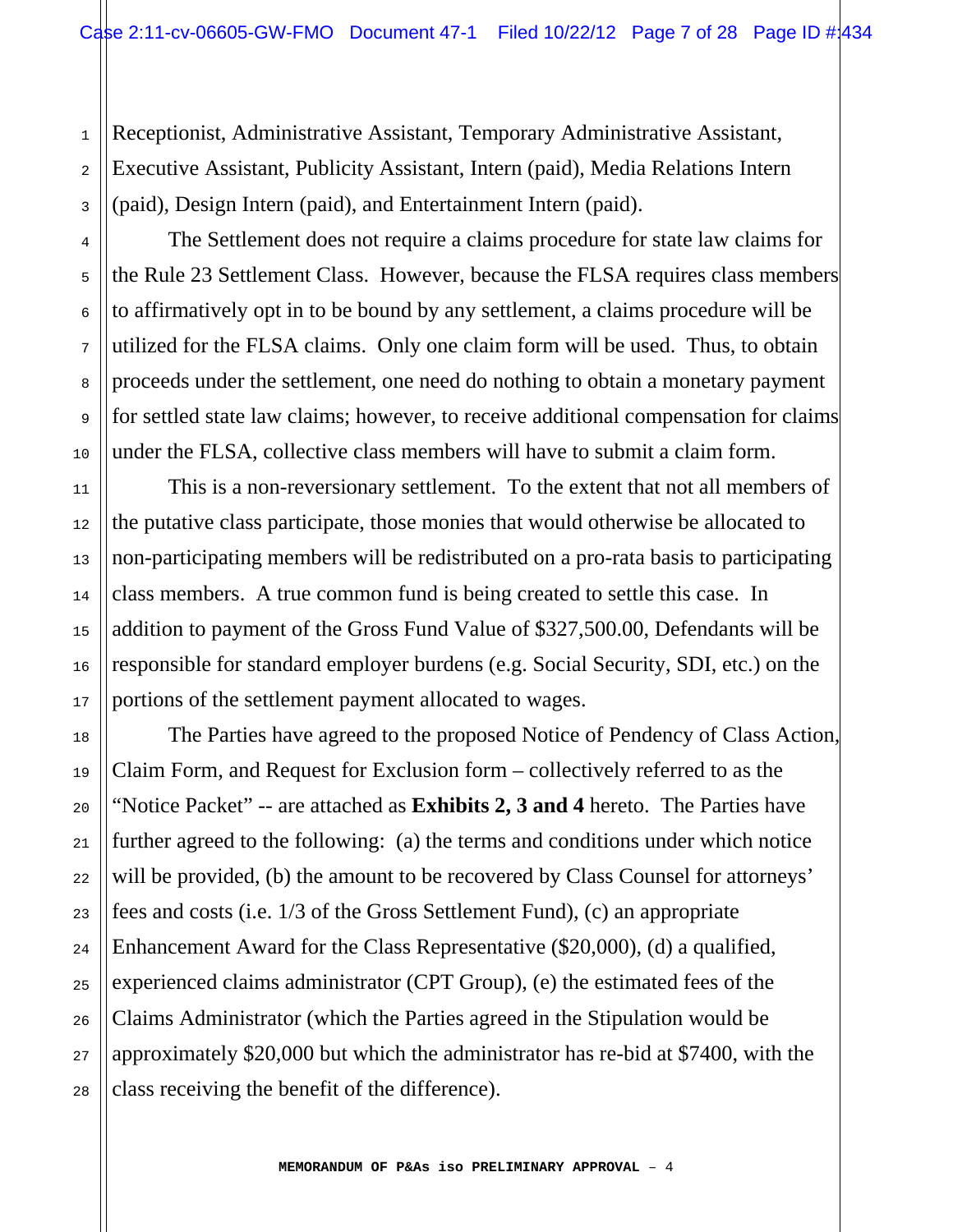Receptionist, Administrative Assistant, Temporary Administrative Assistant, Executive Assistant, Publicity Assistant, Intern (paid), Media Relations Intern (paid), Design Intern (paid), and Entertainment Intern (paid).

 The Settlement does not require a claims procedure for state law claims for the Rule 23 Settlement Class. However, because the FLSA requires class members to affirmatively opt in to be bound by any settlement, a claims procedure will be utilized for the FLSA claims. Only one claim form will be used. Thus, to obtain proceeds under the settlement, one need do nothing to obtain a monetary payment for settled state law claims; however, to receive additional compensation for claims under the FLSA, collective class members will have to submit a claim form.

 This is a non-reversionary settlement. To the extent that not all members of the putative class participate, those monies that would otherwise be allocated to non-participating members will be redistributed on a pro-rata basis to participating class members. A true common fund is being created to settle this case. In addition to payment of the Gross Fund Value of \$327,500.00, Defendants will be responsible for standard employer burdens (e.g. Social Security, SDI, etc.) on the portions of the settlement payment allocated to wages.

 The Parties have agreed to the proposed Notice of Pendency of Class Action, Claim Form, and Request for Exclusion form – collectively referred to as the "Notice Packet" -- are attached as **Exhibits 2, 3 and 4** hereto. The Parties have further agreed to the following: (a) the terms and conditions under which notice will be provided, (b) the amount to be recovered by Class Counsel for attorneys' fees and costs (i.e. 1/3 of the Gross Settlement Fund), (c) an appropriate Enhancement Award for the Class Representative (\$20,000), (d) a qualified, experienced claims administrator (CPT Group), (e) the estimated fees of the Claims Administrator (which the Parties agreed in the Stipulation would be approximately \$20,000 but which the administrator has re-bid at \$7400, with the class receiving the benefit of the difference).

1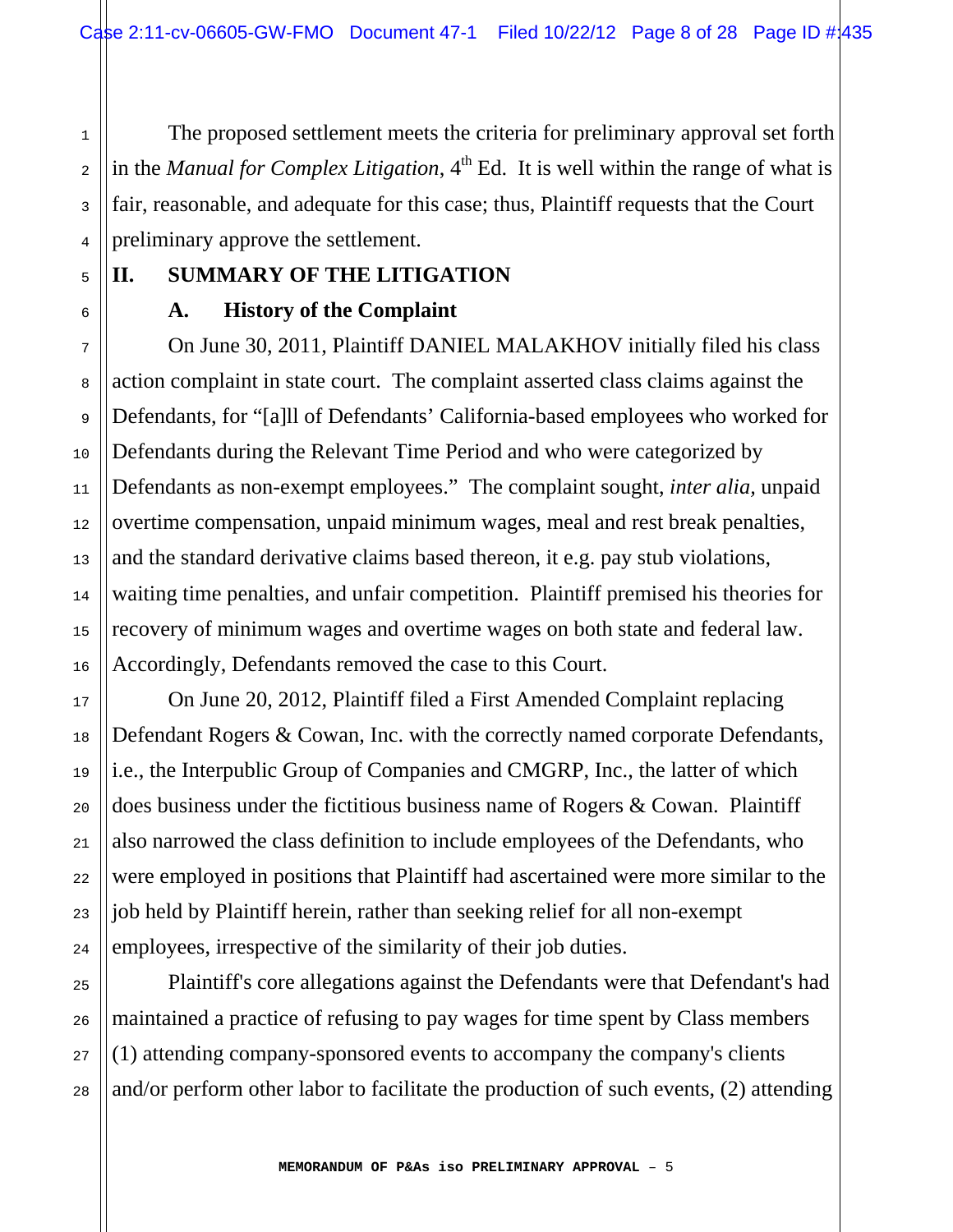The proposed settlement meets the criteria for preliminary approval set forth in the *Manual for Complex Litigation*,  $4<sup>th</sup>$  Ed. It is well within the range of what is fair, reasonable, and adequate for this case; thus, Plaintiff requests that the Court preliminary approve the settlement.

# **II. SUMMARY OF THE LITIGATION**

## **A. History of the Complaint**

 On June 30, 2011, Plaintiff DANIEL MALAKHOV initially filed his class action complaint in state court. The complaint asserted class claims against the Defendants, for "[a]ll of Defendants' California-based employees who worked for Defendants during the Relevant Time Period and who were categorized by Defendants as non-exempt employees." The complaint sought, *inter alia,* unpaid overtime compensation, unpaid minimum wages, meal and rest break penalties, and the standard derivative claims based thereon, it e.g. pay stub violations, waiting time penalties, and unfair competition. Plaintiff premised his theories for recovery of minimum wages and overtime wages on both state and federal law. Accordingly, Defendants removed the case to this Court.

 On June 20, 2012, Plaintiff filed a First Amended Complaint replacing Defendant Rogers & Cowan, Inc. with the correctly named corporate Defendants, i.e., the Interpublic Group of Companies and CMGRP, Inc., the latter of which does business under the fictitious business name of Rogers & Cowan. Plaintiff also narrowed the class definition to include employees of the Defendants, who were employed in positions that Plaintiff had ascertained were more similar to the job held by Plaintiff herein, rather than seeking relief for all non-exempt employees, irrespective of the similarity of their job duties.

Plaintiff's core allegations against the Defendants were that Defendant's had maintained a practice of refusing to pay wages for time spent by Class members (1) attending company-sponsored events to accompany the company's clients and/or perform other labor to facilitate the production of such events, (2) attending

28

1

2

3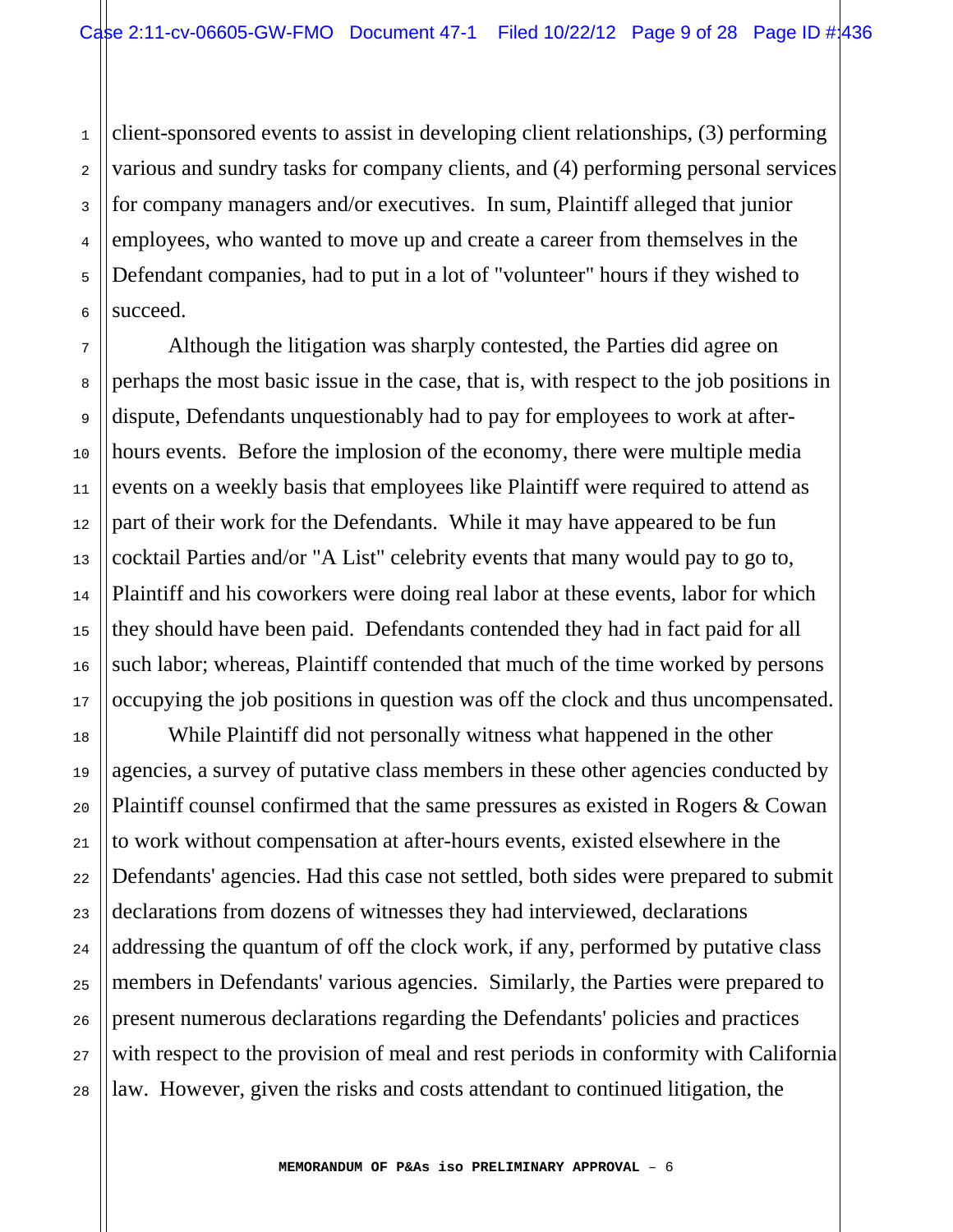1 2 3 4 5 6 client-sponsored events to assist in developing client relationships, (3) performing various and sundry tasks for company clients, and (4) performing personal services for company managers and/or executives. In sum, Plaintiff alleged that junior employees, who wanted to move up and create a career from themselves in the Defendant companies, had to put in a lot of "volunteer" hours if they wished to succeed.

7

8

9

10

11

12

13

14

15

16

17

18

19

20

21

22

23

24

25

26

27

28

 Although the litigation was sharply contested, the Parties did agree on perhaps the most basic issue in the case, that is, with respect to the job positions in dispute, Defendants unquestionably had to pay for employees to work at afterhours events. Before the implosion of the economy, there were multiple media events on a weekly basis that employees like Plaintiff were required to attend as part of their work for the Defendants. While it may have appeared to be fun cocktail Parties and/or "A List" celebrity events that many would pay to go to, Plaintiff and his coworkers were doing real labor at these events, labor for which they should have been paid. Defendants contended they had in fact paid for all such labor; whereas, Plaintiff contended that much of the time worked by persons occupying the job positions in question was off the clock and thus uncompensated.

 While Plaintiff did not personally witness what happened in the other agencies, a survey of putative class members in these other agencies conducted by Plaintiff counsel confirmed that the same pressures as existed in Rogers & Cowan to work without compensation at after-hours events, existed elsewhere in the Defendants' agencies. Had this case not settled, both sides were prepared to submit declarations from dozens of witnesses they had interviewed, declarations addressing the quantum of off the clock work, if any, performed by putative class members in Defendants' various agencies. Similarly, the Parties were prepared to present numerous declarations regarding the Defendants' policies and practices with respect to the provision of meal and rest periods in conformity with California law. However, given the risks and costs attendant to continued litigation, the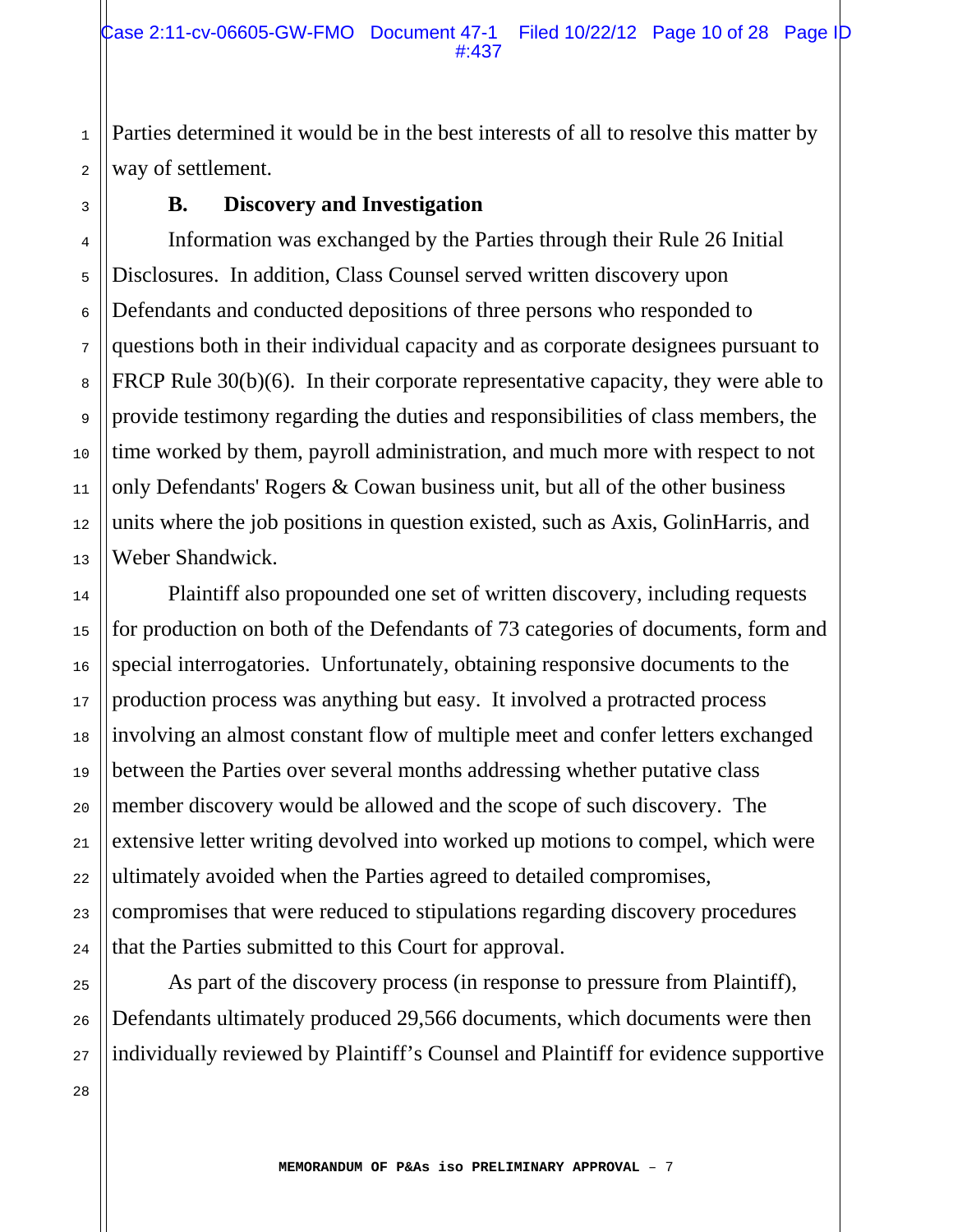Parties determined it would be in the best interests of all to resolve this matter by way of settlement.

1

2

3

4

5

6

7

8

9

10

11

12

13

14

15

16

17

18

19

20

21

22

23

24

25

26

27

## **B. Discovery and Investigation**

 Information was exchanged by the Parties through their Rule 26 Initial Disclosures. In addition, Class Counsel served written discovery upon Defendants and conducted depositions of three persons who responded to questions both in their individual capacity and as corporate designees pursuant to FRCP Rule 30(b)(6). In their corporate representative capacity, they were able to provide testimony regarding the duties and responsibilities of class members, the time worked by them, payroll administration, and much more with respect to not only Defendants' Rogers & Cowan business unit, but all of the other business units where the job positions in question existed, such as Axis, GolinHarris, and Weber Shandwick.

 Plaintiff also propounded one set of written discovery, including requests for production on both of the Defendants of 73 categories of documents, form and special interrogatories. Unfortunately, obtaining responsive documents to the production process was anything but easy. It involved a protracted process involving an almost constant flow of multiple meet and confer letters exchanged between the Parties over several months addressing whether putative class member discovery would be allowed and the scope of such discovery. The extensive letter writing devolved into worked up motions to compel, which were ultimately avoided when the Parties agreed to detailed compromises, compromises that were reduced to stipulations regarding discovery procedures that the Parties submitted to this Court for approval.

 As part of the discovery process (in response to pressure from Plaintiff), Defendants ultimately produced 29,566 documents, which documents were then individually reviewed by Plaintiff's Counsel and Plaintiff for evidence supportive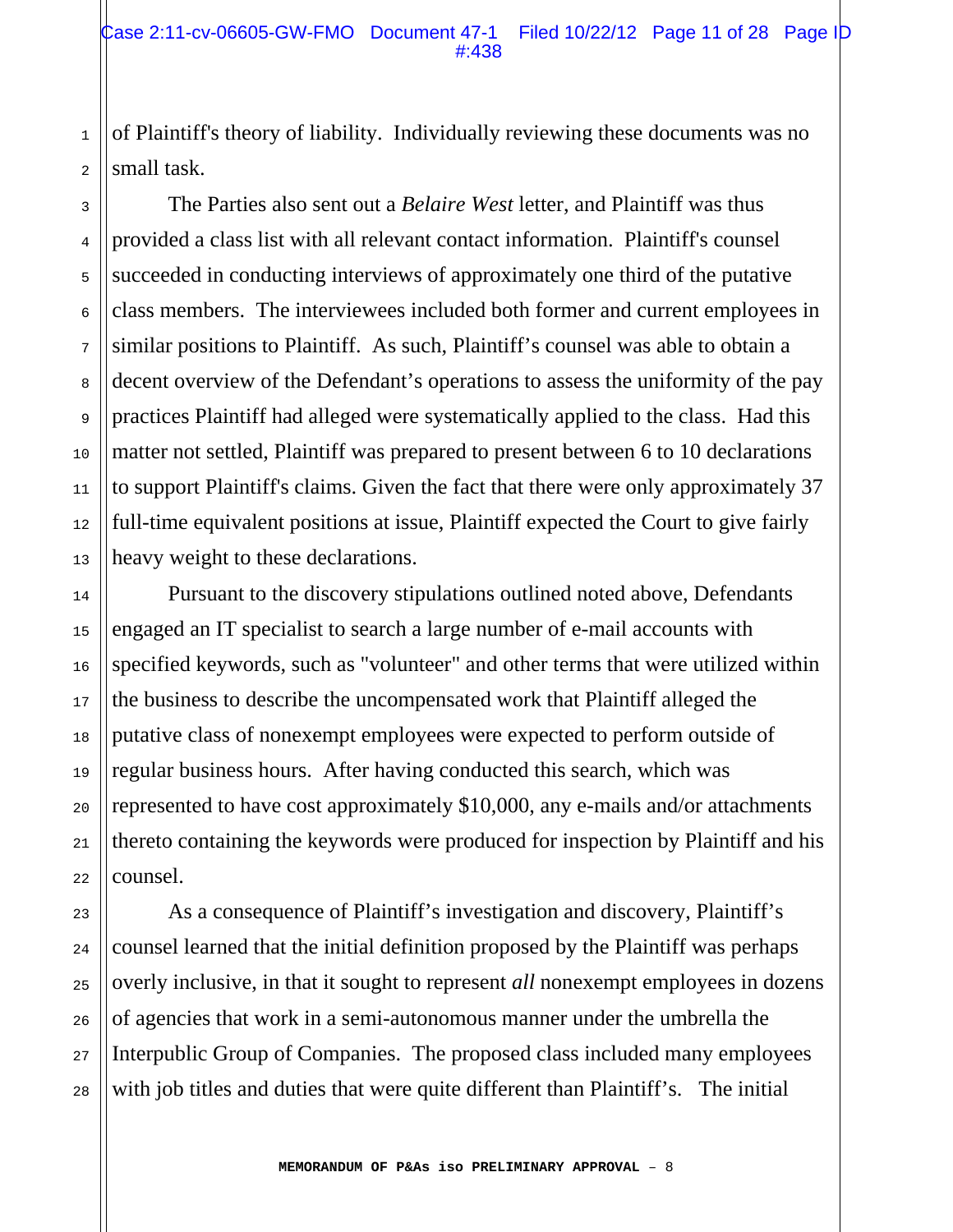of Plaintiff's theory of liability. Individually reviewing these documents was no small task.

1

2

3

4

5

6

7

8

9

10

11

12

13

14

15

16

17

18

19

20

21

22

23

24

25

26

27

28

 The Parties also sent out a *Belaire West* letter, and Plaintiff was thus provided a class list with all relevant contact information. Plaintiff's counsel succeeded in conducting interviews of approximately one third of the putative class members. The interviewees included both former and current employees in similar positions to Plaintiff. As such, Plaintiff's counsel was able to obtain a decent overview of the Defendant's operations to assess the uniformity of the pay practices Plaintiff had alleged were systematically applied to the class. Had this matter not settled, Plaintiff was prepared to present between 6 to 10 declarations to support Plaintiff's claims. Given the fact that there were only approximately 37 full-time equivalent positions at issue, Plaintiff expected the Court to give fairly heavy weight to these declarations.

 Pursuant to the discovery stipulations outlined noted above, Defendants engaged an IT specialist to search a large number of e-mail accounts with specified keywords, such as "volunteer" and other terms that were utilized within the business to describe the uncompensated work that Plaintiff alleged the putative class of nonexempt employees were expected to perform outside of regular business hours. After having conducted this search, which was represented to have cost approximately \$10,000, any e-mails and/or attachments thereto containing the keywords were produced for inspection by Plaintiff and his counsel.

 As a consequence of Plaintiff's investigation and discovery, Plaintiff's counsel learned that the initial definition proposed by the Plaintiff was perhaps overly inclusive, in that it sought to represent *all* nonexempt employees in dozens of agencies that work in a semi-autonomous manner under the umbrella the Interpublic Group of Companies. The proposed class included many employees with job titles and duties that were quite different than Plaintiff's. The initial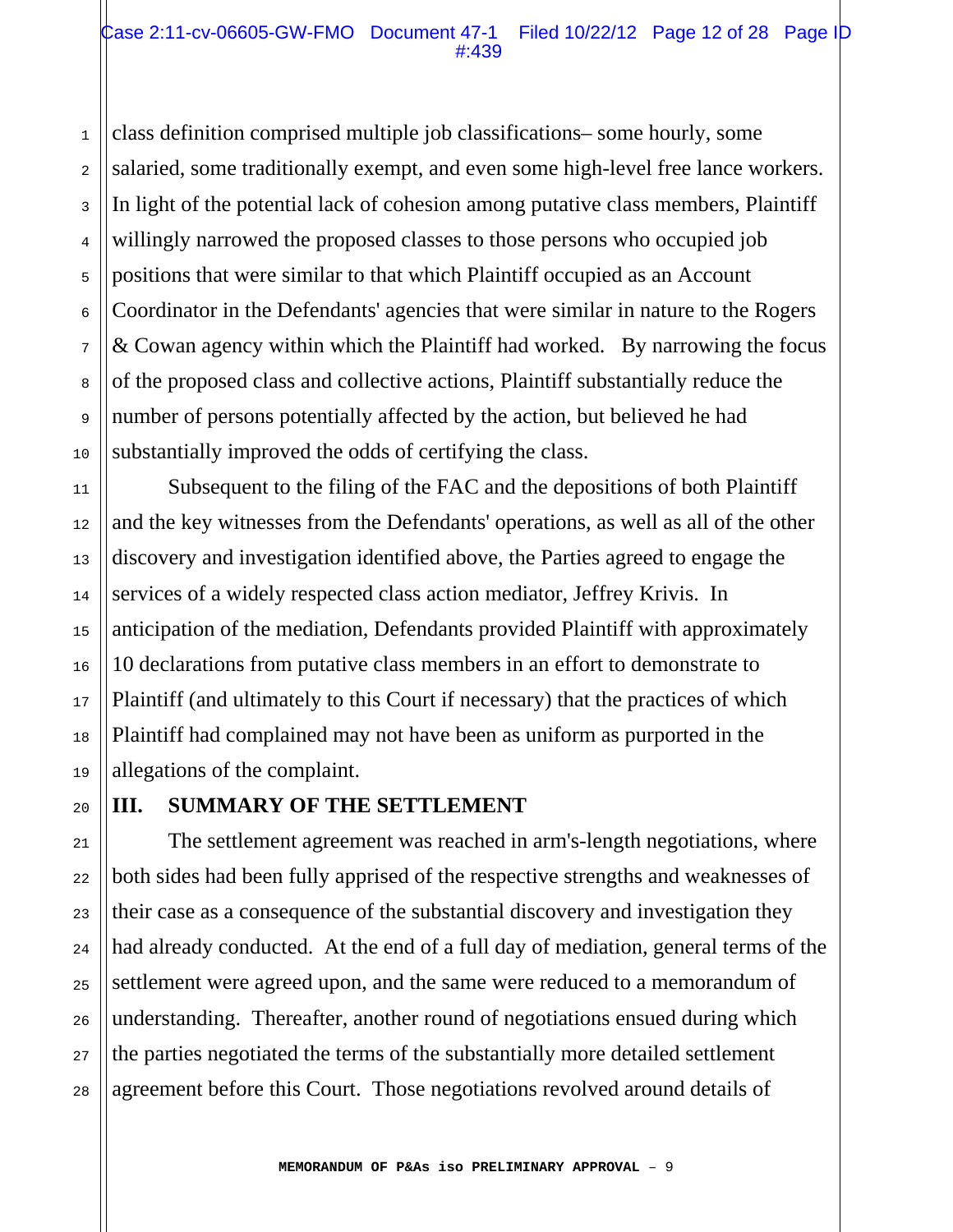class definition comprised multiple job classifications– some hourly, some salaried, some traditionally exempt, and even some high-level free lance workers. In light of the potential lack of cohesion among putative class members, Plaintiff willingly narrowed the proposed classes to those persons who occupied job positions that were similar to that which Plaintiff occupied as an Account Coordinator in the Defendants' agencies that were similar in nature to the Rogers & Cowan agency within which the Plaintiff had worked. By narrowing the focus of the proposed class and collective actions, Plaintiff substantially reduce the number of persons potentially affected by the action, but believed he had substantially improved the odds of certifying the class.

 Subsequent to the filing of the FAC and the depositions of both Plaintiff and the key witnesses from the Defendants' operations, as well as all of the other discovery and investigation identified above, the Parties agreed to engage the services of a widely respected class action mediator, Jeffrey Krivis. In anticipation of the mediation, Defendants provided Plaintiff with approximately 10 declarations from putative class members in an effort to demonstrate to Plaintiff (and ultimately to this Court if necessary) that the practices of which Plaintiff had complained may not have been as uniform as purported in the allegations of the complaint.

#### **III. SUMMARY OF THE SETTLEMENT**

 The settlement agreement was reached in arm's-length negotiations, where both sides had been fully apprised of the respective strengths and weaknesses of their case as a consequence of the substantial discovery and investigation they had already conducted. At the end of a full day of mediation, general terms of the settlement were agreed upon, and the same were reduced to a memorandum of understanding. Thereafter, another round of negotiations ensued during which the parties negotiated the terms of the substantially more detailed settlement agreement before this Court. Those negotiations revolved around details of

**MEMORANDUM OF P&As iso PRELIMINARY APPROVAL** – 9

1

2

3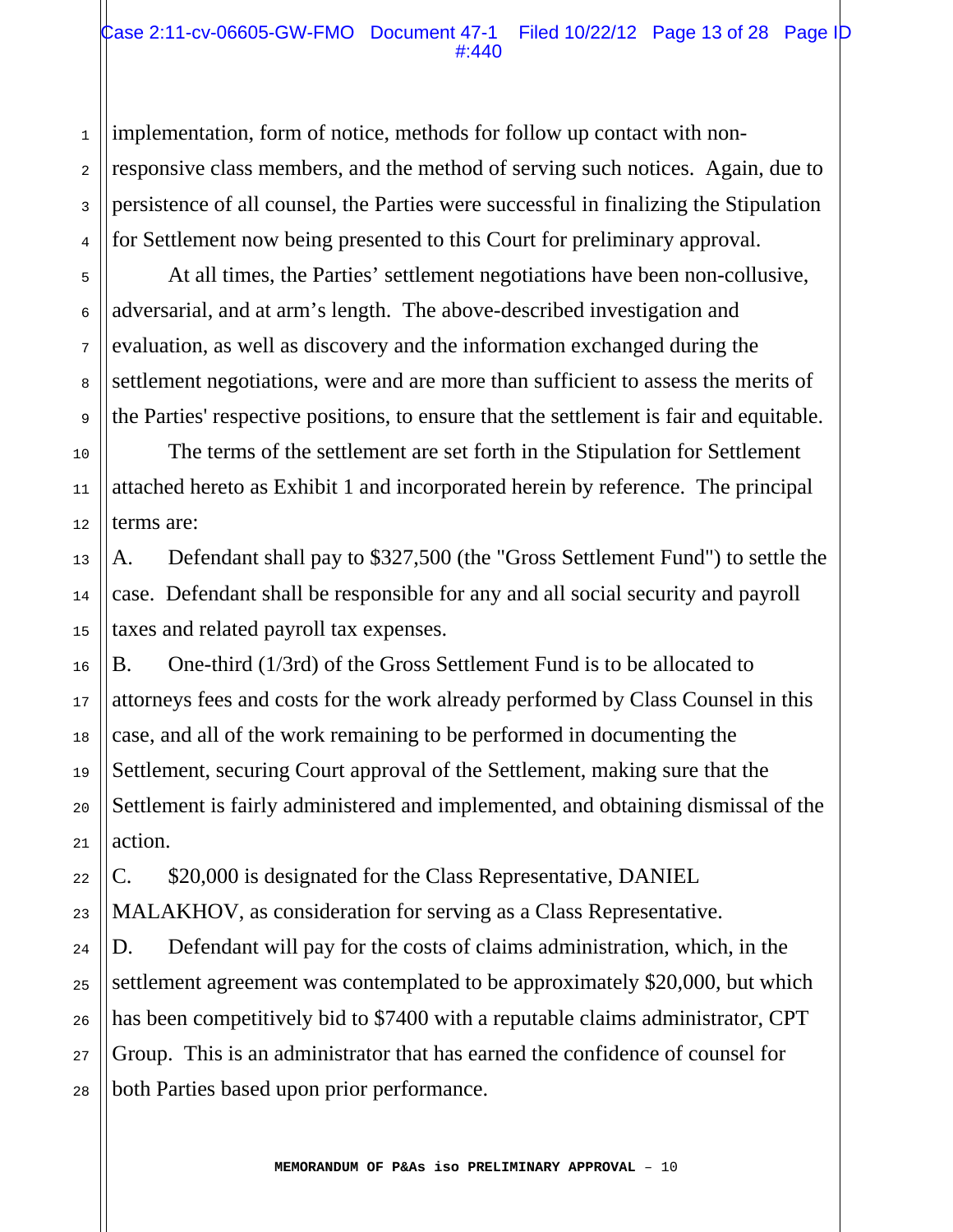implementation, form of notice, methods for follow up contact with nonresponsive class members, and the method of serving such notices. Again, due to persistence of all counsel, the Parties were successful in finalizing the Stipulation for Settlement now being presented to this Court for preliminary approval.

 At all times, the Parties' settlement negotiations have been non-collusive, adversarial, and at arm's length. The above-described investigation and evaluation, as well as discovery and the information exchanged during the settlement negotiations, were and are more than sufficient to assess the merits of the Parties' respective positions, to ensure that the settlement is fair and equitable.

 The terms of the settlement are set forth in the Stipulation for Settlement attached hereto as Exhibit 1 and incorporated herein by reference. The principal terms are:

A. Defendant shall pay to \$327,500 (the "Gross Settlement Fund") to settle the case. Defendant shall be responsible for any and all social security and payroll taxes and related payroll tax expenses.

B. One-third (1/3rd) of the Gross Settlement Fund is to be allocated to attorneys fees and costs for the work already performed by Class Counsel in this case, and all of the work remaining to be performed in documenting the Settlement, securing Court approval of the Settlement, making sure that the Settlement is fairly administered and implemented, and obtaining dismissal of the action.

C. \$20,000 is designated for the Class Representative, DANIEL

MALAKHOV, as consideration for serving as a Class Representative. D. Defendant will pay for the costs of claims administration, which, in the settlement agreement was contemplated to be approximately \$20,000, but which has been competitively bid to \$7400 with a reputable claims administrator, CPT Group. This is an administrator that has earned the confidence of counsel for both Parties based upon prior performance.

1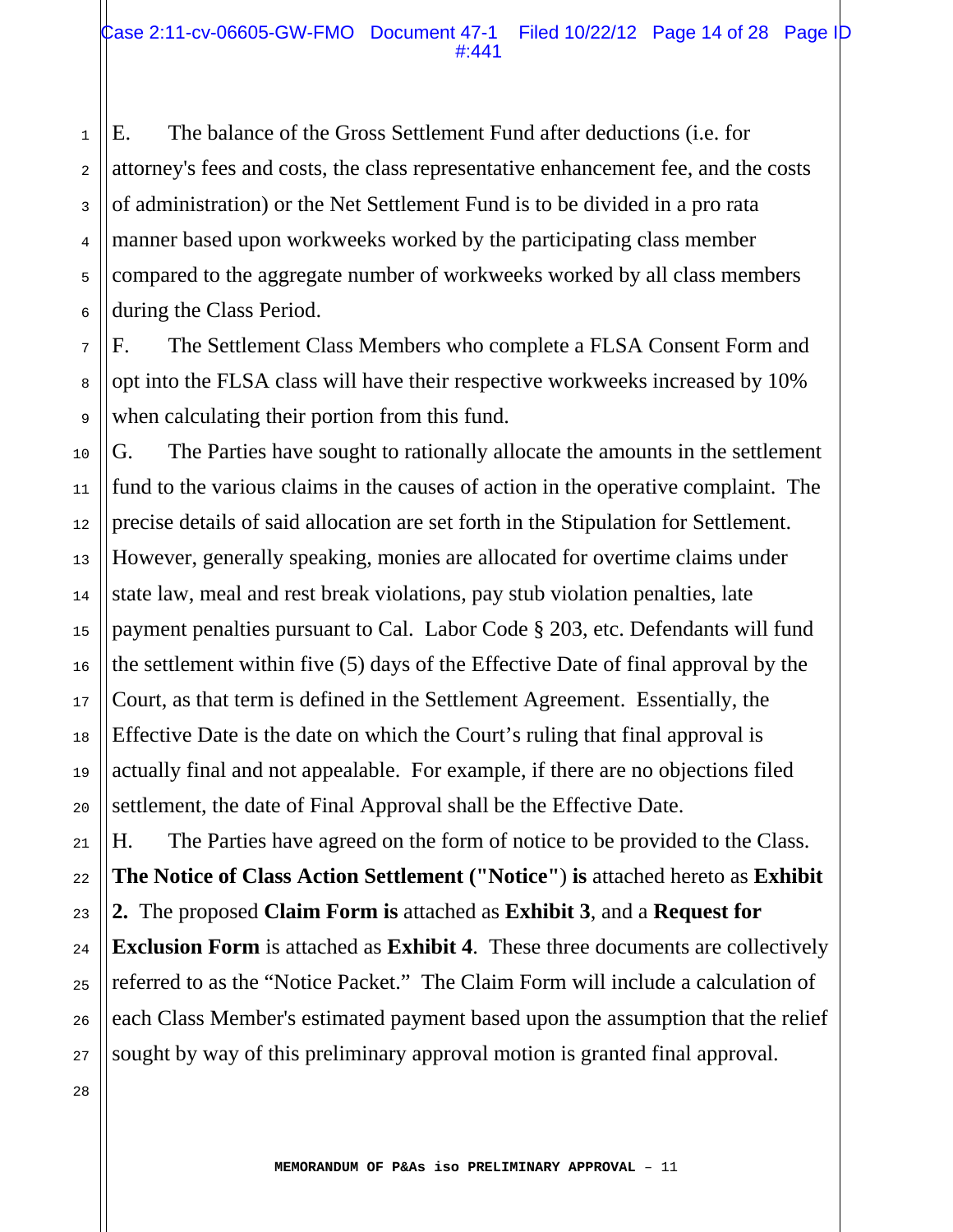1 2 3 5 6 E. The balance of the Gross Settlement Fund after deductions (i.e. for attorney's fees and costs, the class representative enhancement fee, and the costs of administration) or the Net Settlement Fund is to be divided in a pro rata manner based upon workweeks worked by the participating class member compared to the aggregate number of workweeks worked by all class members during the Class Period.

F. The Settlement Class Members who complete a FLSA Consent Form and opt into the FLSA class will have their respective workweeks increased by 10% when calculating their portion from this fund.

G. The Parties have sought to rationally allocate the amounts in the settlement fund to the various claims in the causes of action in the operative complaint. The precise details of said allocation are set forth in the Stipulation for Settlement. However, generally speaking, monies are allocated for overtime claims under state law, meal and rest break violations, pay stub violation penalties, late payment penalties pursuant to Cal. Labor Code § 203, etc. Defendants will fund the settlement within five (5) days of the Effective Date of final approval by the Court, as that term is defined in the Settlement Agreement. Essentially, the Effective Date is the date on which the Court's ruling that final approval is actually final and not appealable. For example, if there are no objections filed settlement, the date of Final Approval shall be the Effective Date.

H. The Parties have agreed on the form of notice to be provided to the Class. **The Notice of Class Action Settlement ("Notice"**) **is** attached hereto as **Exhibit 2.** The proposed **Claim Form is** attached as **Exhibit 3**, and a **Request for Exclusion Form** is attached as **Exhibit 4**. These three documents are collectively referred to as the "Notice Packet." The Claim Form will include a calculation of each Class Member's estimated payment based upon the assumption that the relief sought by way of this preliminary approval motion is granted final approval.

4

7

8

9

10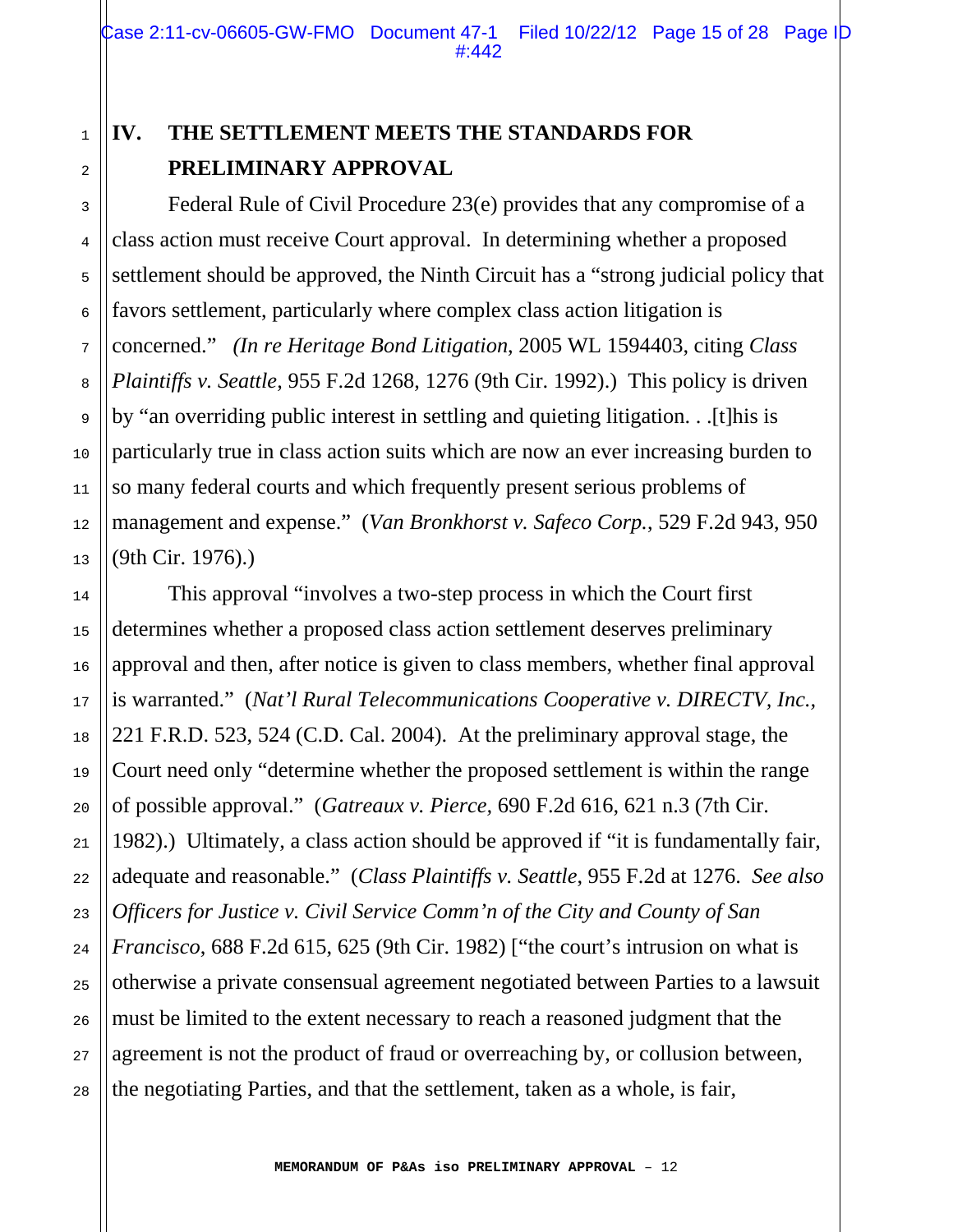# 1 2

3

4

5

6

7

8

9

10

11

12

13

14

15

16

17

18

19

20

21

22

23

24

25

26

27

28

# **IV. THE SETTLEMENT MEETS THE STANDARDS FOR PRELIMINARY APPROVAL**

 Federal Rule of Civil Procedure 23(e) provides that any compromise of a class action must receive Court approval. In determining whether a proposed settlement should be approved, the Ninth Circuit has a "strong judicial policy that favors settlement, particularly where complex class action litigation is concerned." *(In re Heritage Bond Litigation*, 2005 WL 1594403, citing *Class Plaintiffs v. Seattle*, 955 F.2d 1268, 1276 (9th Cir. 1992).) This policy is driven by "an overriding public interest in settling and quieting litigation. . .[t]his is particularly true in class action suits which are now an ever increasing burden to so many federal courts and which frequently present serious problems of management and expense." (*Van Bronkhorst v. Safeco Corp.*, 529 F.2d 943, 950 (9th Cir. 1976).)

 This approval "involves a two-step process in which the Court first determines whether a proposed class action settlement deserves preliminary approval and then, after notice is given to class members, whether final approval is warranted." (*Nat'l Rural Telecommunications Cooperative v. DIRECTV, Inc.,* 221 F.R.D. 523, 524 (C.D. Cal. 2004). At the preliminary approval stage, the Court need only "determine whether the proposed settlement is within the range of possible approval." (*Gatreaux v. Pierce,* 690 F.2d 616, 621 n.3 (7th Cir. 1982).) Ultimately, a class action should be approved if "it is fundamentally fair, adequate and reasonable." (*Class Plaintiffs v. Seattle*, 955 F.2d at 1276. *See also Officers for Justice v. Civil Service Comm'n of the City and County of San Francisco*, 688 F.2d 615, 625 (9th Cir. 1982) ["the court's intrusion on what is otherwise a private consensual agreement negotiated between Parties to a lawsuit must be limited to the extent necessary to reach a reasoned judgment that the agreement is not the product of fraud or overreaching by, or collusion between, the negotiating Parties, and that the settlement, taken as a whole, is fair,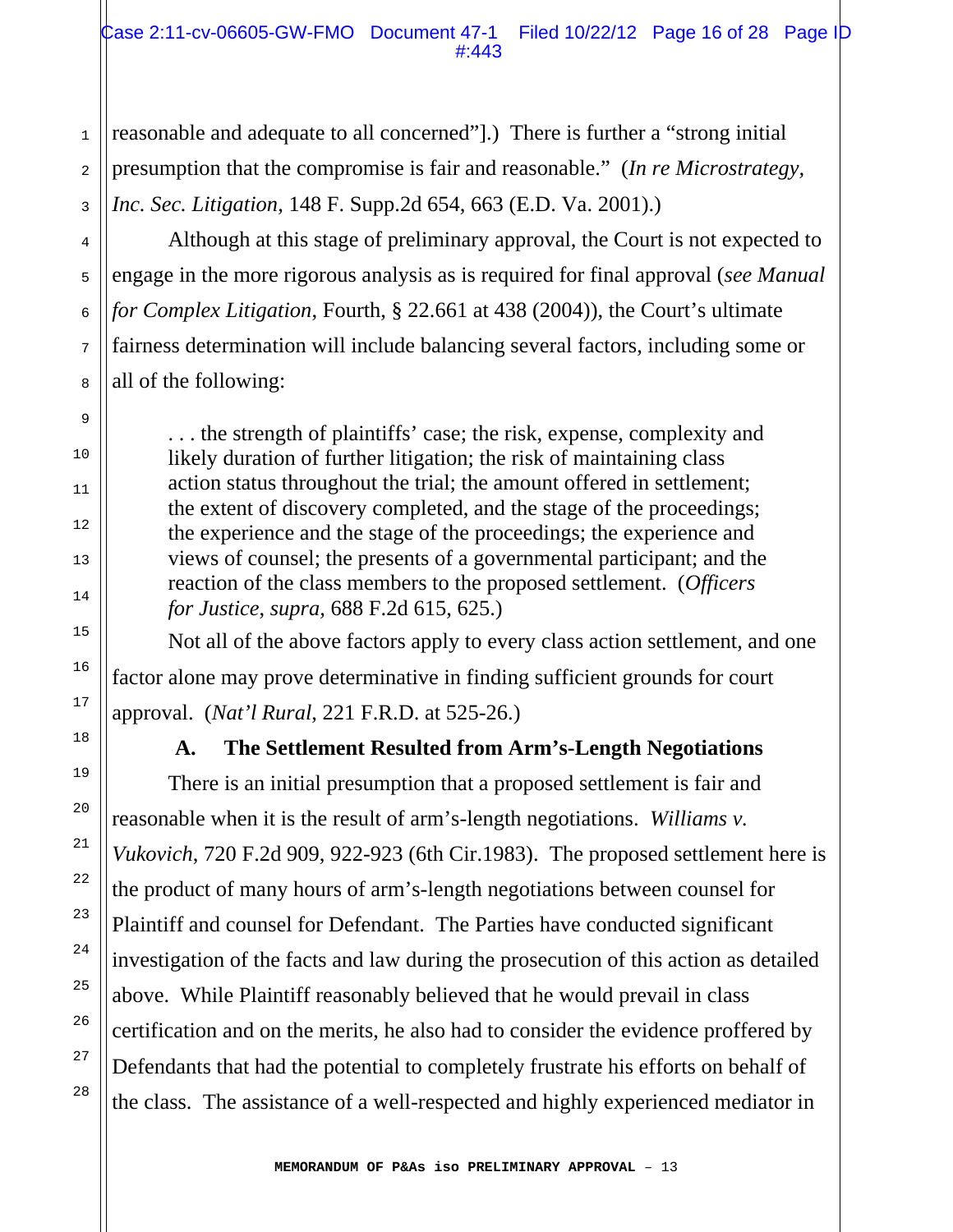reasonable and adequate to all concerned"].) There is further a "strong initial presumption that the compromise is fair and reasonable." (*In re Microstrategy, Inc. Sec. Litigation*, 148 F. Supp.2d 654, 663 (E.D. Va. 2001).)

1

2

3

4

5

6

7

8

9

10

11

12

13

14

15

16

17

18

19

20

21

22

23

24

25

26

27

28

 Although at this stage of preliminary approval, the Court is not expected to engage in the more rigorous analysis as is required for final approval (*see Manual for Complex Litigation*, Fourth, § 22.661 at 438 (2004)), the Court's ultimate fairness determination will include balancing several factors, including some or all of the following:

. . . the strength of plaintiffs' case; the risk, expense, complexity and likely duration of further litigation; the risk of maintaining class action status throughout the trial; the amount offered in settlement; the extent of discovery completed, and the stage of the proceedings; the experience and the stage of the proceedings; the experience and views of counsel; the presents of a governmental participant; and the reaction of the class members to the proposed settlement. (*Officers for Justice*, *supra,* 688 F.2d 615, 625.)

 Not all of the above factors apply to every class action settlement, and one factor alone may prove determinative in finding sufficient grounds for court approval. (*Nat'l Rural*, 221 F.R.D. at 525-26.)

# **A. The Settlement Resulted from Arm's-Length Negotiations**

 There is an initial presumption that a proposed settlement is fair and reasonable when it is the result of arm's-length negotiations. *Williams v. Vukovich*, 720 F.2d 909, 922-923 (6th Cir.1983). The proposed settlement here is the product of many hours of arm's-length negotiations between counsel for Plaintiff and counsel for Defendant. The Parties have conducted significant investigation of the facts and law during the prosecution of this action as detailed above. While Plaintiff reasonably believed that he would prevail in class certification and on the merits, he also had to consider the evidence proffered by Defendants that had the potential to completely frustrate his efforts on behalf of the class. The assistance of a well-respected and highly experienced mediator in

**MEMORANDUM OF P&As iso PRELIMINARY APPROVAL** – 13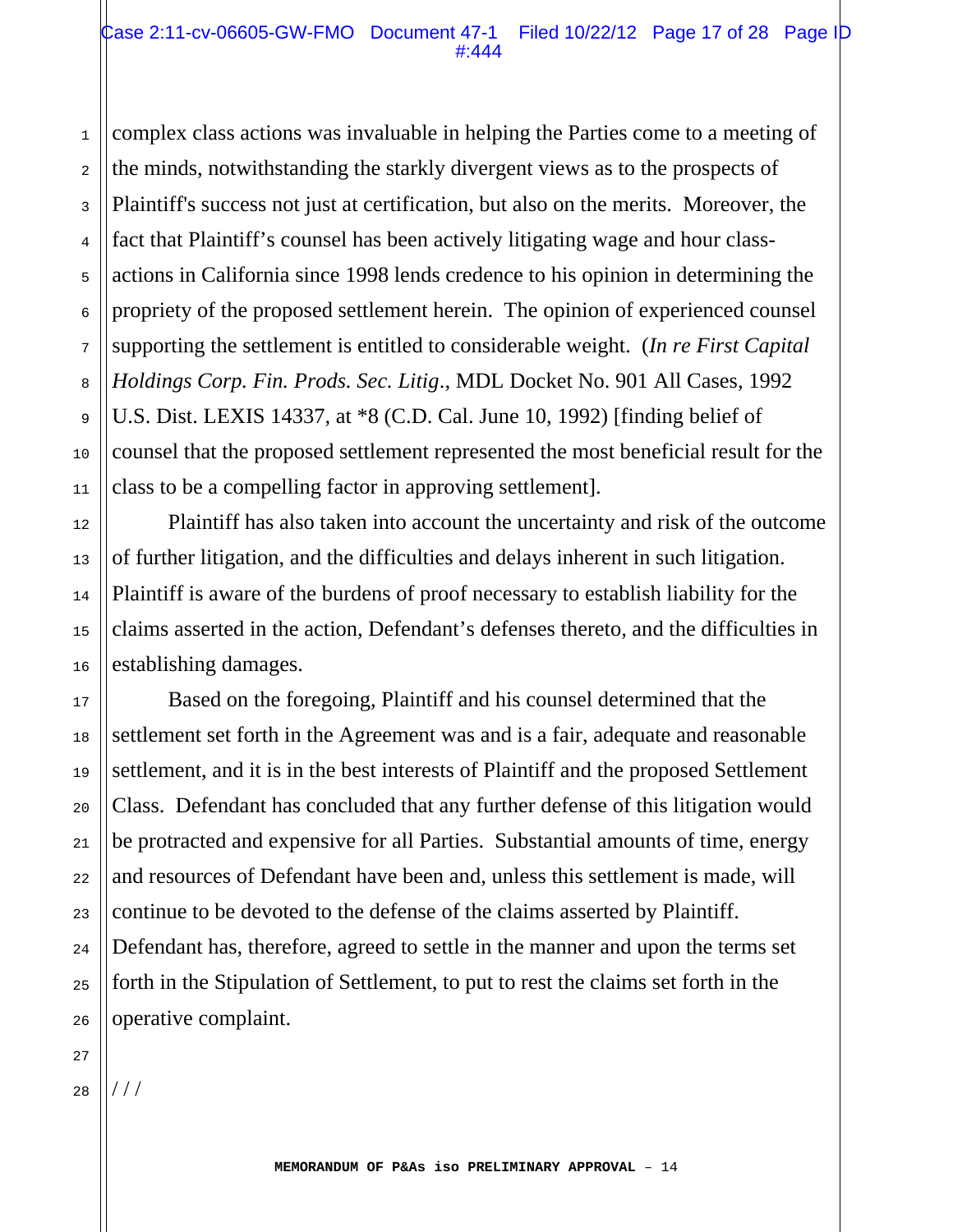1 2 3 4 5 6 7 8 10 11 complex class actions was invaluable in helping the Parties come to a meeting of the minds, notwithstanding the starkly divergent views as to the prospects of Plaintiff's success not just at certification, but also on the merits. Moreover, the fact that Plaintiff's counsel has been actively litigating wage and hour classactions in California since 1998 lends credence to his opinion in determining the propriety of the proposed settlement herein. The opinion of experienced counsel supporting the settlement is entitled to considerable weight. (*In re First Capital Holdings Corp. Fin. Prods. Sec. Litig*., MDL Docket No. 901 All Cases, 1992 U.S. Dist. LEXIS 14337, at \*8 (C.D. Cal. June 10, 1992) [finding belief of counsel that the proposed settlement represented the most beneficial result for the class to be a compelling factor in approving settlement].

 Plaintiff has also taken into account the uncertainty and risk of the outcome of further litigation, and the difficulties and delays inherent in such litigation. Plaintiff is aware of the burdens of proof necessary to establish liability for the claims asserted in the action, Defendant's defenses thereto, and the difficulties in establishing damages.

 Based on the foregoing, Plaintiff and his counsel determined that the settlement set forth in the Agreement was and is a fair, adequate and reasonable settlement, and it is in the best interests of Plaintiff and the proposed Settlement Class. Defendant has concluded that any further defense of this litigation would be protracted and expensive for all Parties. Substantial amounts of time, energy and resources of Defendant have been and, unless this settlement is made, will continue to be devoted to the defense of the claims asserted by Plaintiff. Defendant has, therefore, agreed to settle in the manner and upon the terms set forth in the Stipulation of Settlement, to put to rest the claims set forth in the operative complaint.

28 / / /

9

12

13

14

15

16

17

18

19

20

21

22

23

24

25

26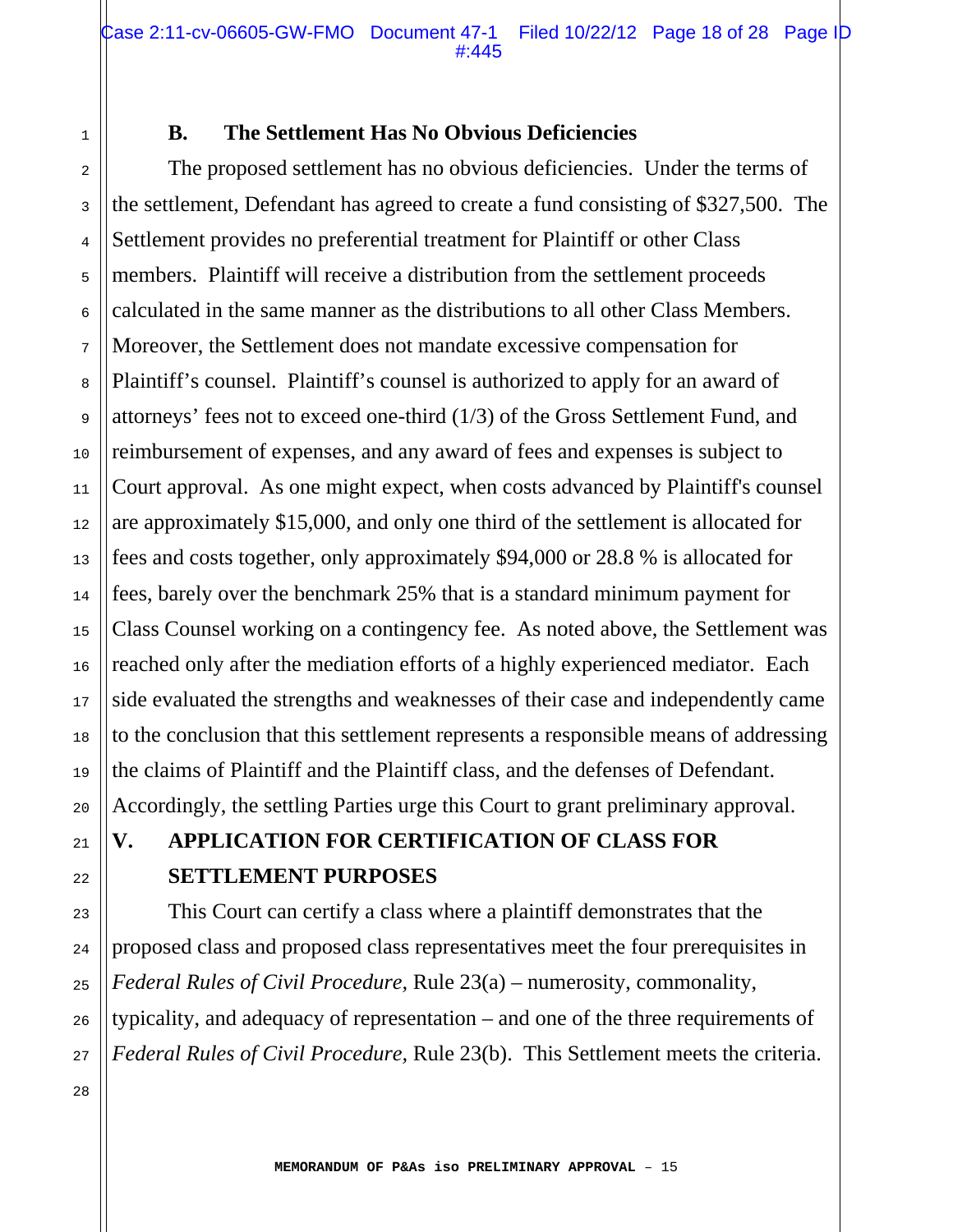Case 2:11-cv-06605-GW-FMO Document 47-1 Filed 10/22/12 Page 18 of 28 Page ID #:445

#### **B. The Settlement Has No Obvious Deficiencies**

 The proposed settlement has no obvious deficiencies. Under the terms of the settlement, Defendant has agreed to create a fund consisting of \$327,500. The Settlement provides no preferential treatment for Plaintiff or other Class members. Plaintiff will receive a distribution from the settlement proceeds calculated in the same manner as the distributions to all other Class Members. Moreover, the Settlement does not mandate excessive compensation for Plaintiff's counsel. Plaintiff's counsel is authorized to apply for an award of attorneys' fees not to exceed one-third (1/3) of the Gross Settlement Fund, and reimbursement of expenses, and any award of fees and expenses is subject to Court approval. As one might expect, when costs advanced by Plaintiff's counsel are approximately \$15,000, and only one third of the settlement is allocated for fees and costs together, only approximately \$94,000 or 28.8 % is allocated for fees, barely over the benchmark 25% that is a standard minimum payment for Class Counsel working on a contingency fee. As noted above, the Settlement was reached only after the mediation efforts of a highly experienced mediator. Each side evaluated the strengths and weaknesses of their case and independently came to the conclusion that this settlement represents a responsible means of addressing the claims of Plaintiff and the Plaintiff class, and the defenses of Defendant. Accordingly, the settling Parties urge this Court to grant preliminary approval.

# **V. APPLICATION FOR CERTIFICATION OF CLASS FOR SETTLEMENT PURPOSES**

 This Court can certify a class where a plaintiff demonstrates that the proposed class and proposed class representatives meet the four prerequisites in *Federal Rules of Civil Procedure,* Rule 23(a) – numerosity, commonality, typicality, and adequacy of representation – and one of the three requirements of *Federal Rules of Civil Procedure,* Rule 23(b). This Settlement meets the criteria.

1

2

3

4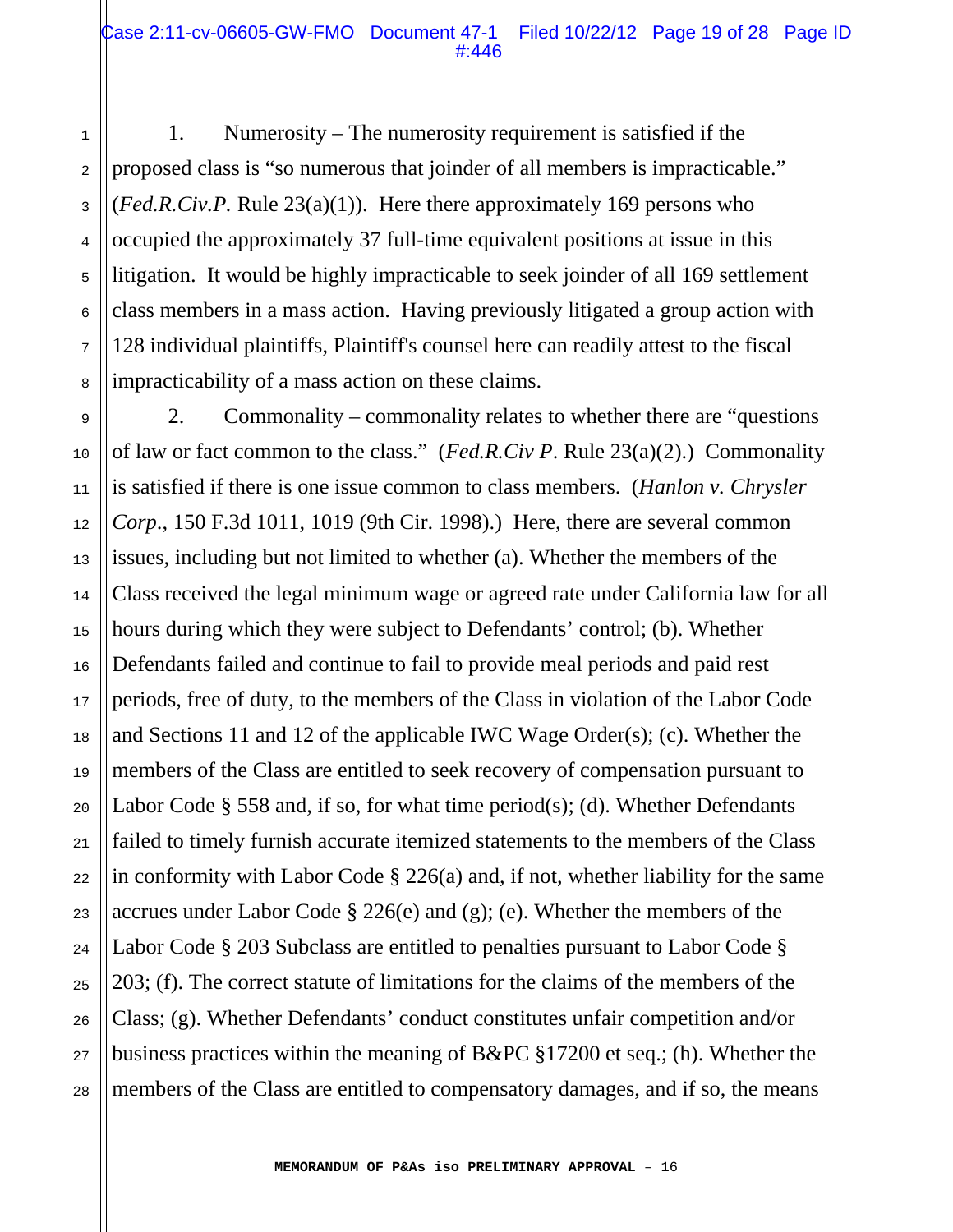1. Numerosity – The numerosity requirement is satisfied if the proposed class is "so numerous that joinder of all members is impracticable." (*Fed.R.Civ.P.* Rule 23(a)(1)). Here there approximately 169 persons who occupied the approximately 37 full-time equivalent positions at issue in this litigation. It would be highly impracticable to seek joinder of all 169 settlement class members in a mass action. Having previously litigated a group action with 128 individual plaintiffs, Plaintiff's counsel here can readily attest to the fiscal impracticability of a mass action on these claims.

1

2

3

4

5

6

7

8

9

10

11

13

14

15

16

17

19

23

24

26

27

28

12 18 20 21 22 25 2. Commonality – commonality relates to whether there are "questions of law or fact common to the class." (*Fed.R.Civ P*. Rule 23(a)(2).) Commonality is satisfied if there is one issue common to class members. (*Hanlon v. Chrysler Corp*., 150 F.3d 1011, 1019 (9th Cir. 1998).) Here, there are several common issues, including but not limited to whether (a). Whether the members of the Class received the legal minimum wage or agreed rate under California law for all hours during which they were subject to Defendants' control; (b). Whether Defendants failed and continue to fail to provide meal periods and paid rest periods, free of duty, to the members of the Class in violation of the Labor Code and Sections 11 and 12 of the applicable IWC Wage Order(s); (c). Whether the members of the Class are entitled to seek recovery of compensation pursuant to Labor Code  $\S$  558 and, if so, for what time period(s); (d). Whether Defendants failed to timely furnish accurate itemized statements to the members of the Class in conformity with Labor Code § 226(a) and, if not, whether liability for the same accrues under Labor Code § 226(e) and (g); (e). Whether the members of the Labor Code § 203 Subclass are entitled to penalties pursuant to Labor Code § 203; (f). The correct statute of limitations for the claims of the members of the Class; (g). Whether Defendants' conduct constitutes unfair competition and/or business practices within the meaning of B&PC §17200 et seq.; (h). Whether the members of the Class are entitled to compensatory damages, and if so, the means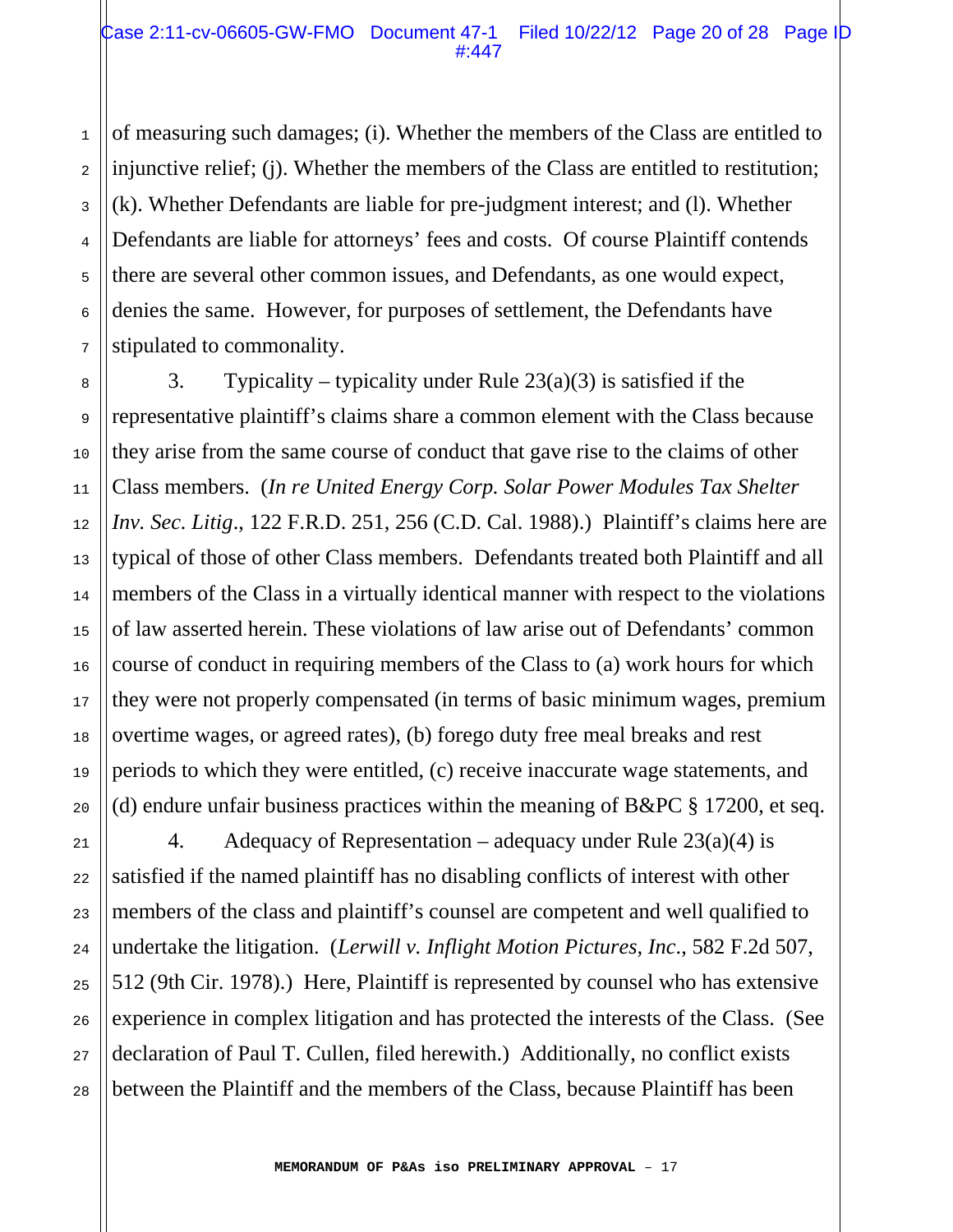of measuring such damages; (i). Whether the members of the Class are entitled to injunctive relief; (j). Whether the members of the Class are entitled to restitution; (k). Whether Defendants are liable for pre-judgment interest; and (l). Whether Defendants are liable for attorneys' fees and costs. Of course Plaintiff contends there are several other common issues, and Defendants, as one would expect, denies the same. However, for purposes of settlement, the Defendants have stipulated to commonality.

3. Typicality – typicality under Rule  $23(a)(3)$  is satisfied if the representative plaintiff's claims share a common element with the Class because they arise from the same course of conduct that gave rise to the claims of other Class members. (*In re United Energy Corp. Solar Power Modules Tax Shelter Inv. Sec. Litig*., 122 F.R.D. 251, 256 (C.D. Cal. 1988).) Plaintiff's claims here are typical of those of other Class members. Defendants treated both Plaintiff and all members of the Class in a virtually identical manner with respect to the violations of law asserted herein. These violations of law arise out of Defendants' common course of conduct in requiring members of the Class to (a) work hours for which they were not properly compensated (in terms of basic minimum wages, premium overtime wages, or agreed rates), (b) forego duty free meal breaks and rest periods to which they were entitled, (c) receive inaccurate wage statements, and (d) endure unfair business practices within the meaning of  $B\&PC \$  17200, et seq.

4. Adequacy of Representation – adequacy under Rule  $23(a)(4)$  is satisfied if the named plaintiff has no disabling conflicts of interest with other members of the class and plaintiff's counsel are competent and well qualified to undertake the litigation. (*Lerwill v. Inflight Motion Pictures, Inc*., 582 F.2d 507, 512 (9th Cir. 1978).) Here, Plaintiff is represented by counsel who has extensive experience in complex litigation and has protected the interests of the Class. (See declaration of Paul T. Cullen, filed herewith.) Additionally, no conflict exists between the Plaintiff and the members of the Class, because Plaintiff has been

1

2

3

4

5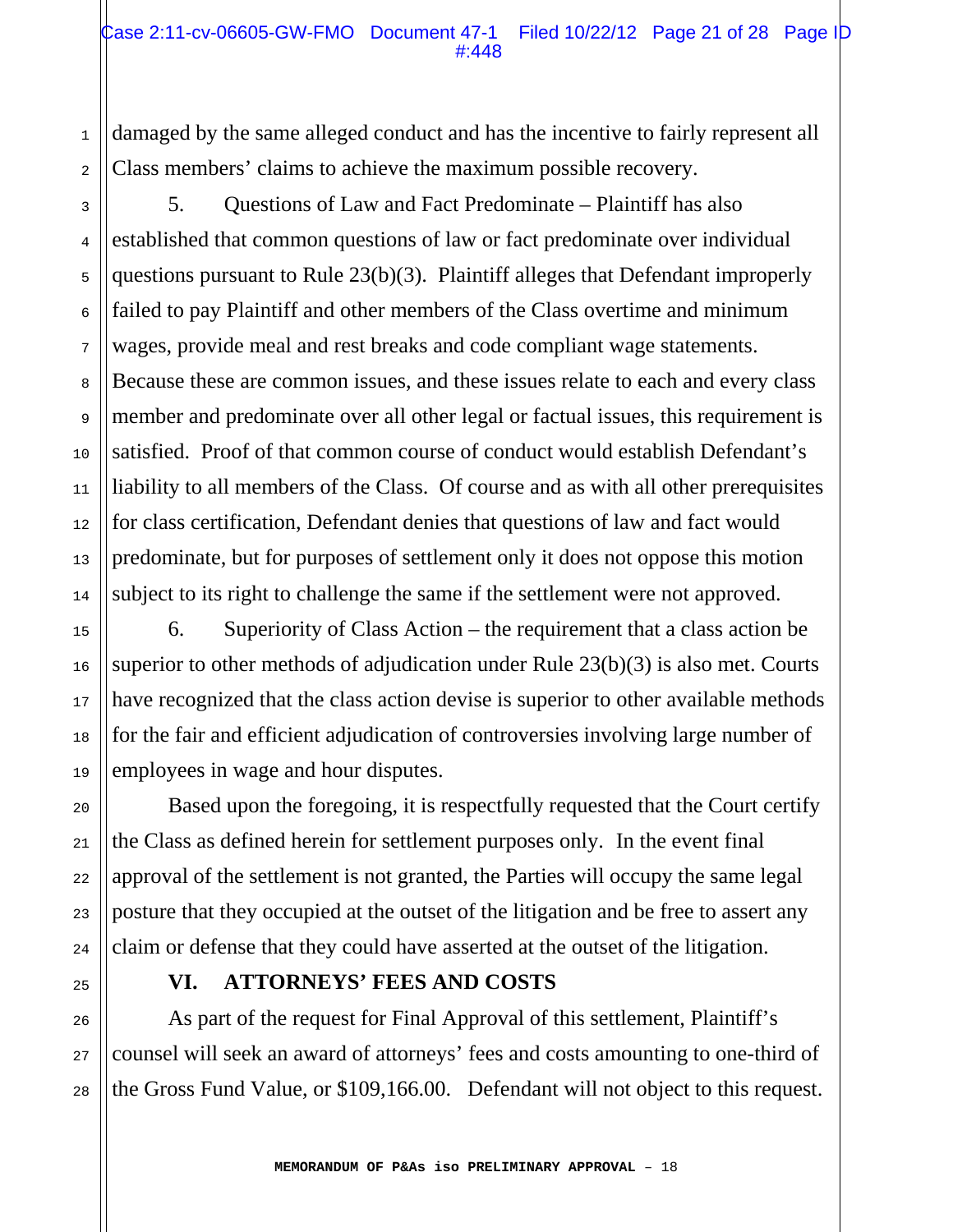damaged by the same alleged conduct and has the incentive to fairly represent all Class members' claims to achieve the maximum possible recovery.

 5. Questions of Law and Fact Predominate – Plaintiff has also established that common questions of law or fact predominate over individual questions pursuant to Rule 23(b)(3). Plaintiff alleges that Defendant improperly failed to pay Plaintiff and other members of the Class overtime and minimum wages, provide meal and rest breaks and code compliant wage statements. Because these are common issues, and these issues relate to each and every class member and predominate over all other legal or factual issues, this requirement is satisfied. Proof of that common course of conduct would establish Defendant's liability to all members of the Class. Of course and as with all other prerequisites for class certification, Defendant denies that questions of law and fact would predominate, but for purposes of settlement only it does not oppose this motion subject to its right to challenge the same if the settlement were not approved.

 6. Superiority of Class Action – the requirement that a class action be superior to other methods of adjudication under Rule 23(b)(3) is also met. Courts have recognized that the class action devise is superior to other available methods for the fair and efficient adjudication of controversies involving large number of employees in wage and hour disputes.

 Based upon the foregoing, it is respectfully requested that the Court certify the Class as defined herein for settlement purposes only. In the event final approval of the settlement is not granted, the Parties will occupy the same legal posture that they occupied at the outset of the litigation and be free to assert any claim or defense that they could have asserted at the outset of the litigation.

1

2

3

4

5

6

7

8

9

10

11

12

13

14

15

16

17

18

19

20

21

22

23

24

25

26

27

28

# **VI. ATTORNEYS' FEES AND COSTS**

 As part of the request for Final Approval of this settlement, Plaintiff's counsel will seek an award of attorneys' fees and costs amounting to one-third of the Gross Fund Value, or \$109,166.00. Defendant will not object to this request.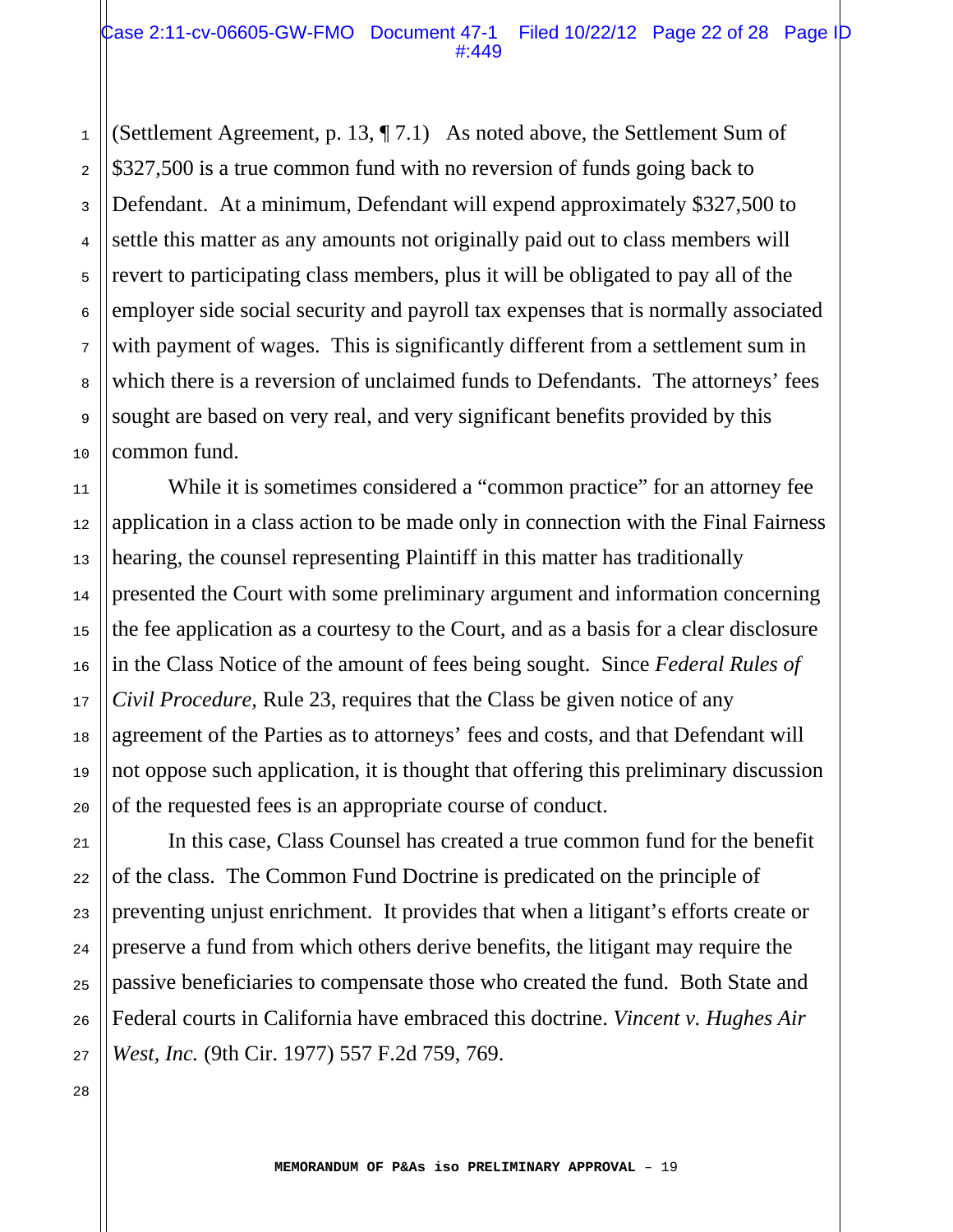(Settlement Agreement, p. 13, ¶ 7.1) As noted above, the Settlement Sum of \$327,500 is a true common fund with no reversion of funds going back to Defendant. At a minimum, Defendant will expend approximately \$327,500 to settle this matter as any amounts not originally paid out to class members will revert to participating class members, plus it will be obligated to pay all of the employer side social security and payroll tax expenses that is normally associated with payment of wages. This is significantly different from a settlement sum in which there is a reversion of unclaimed funds to Defendants. The attorneys' fees sought are based on very real, and very significant benefits provided by this common fund.

 While it is sometimes considered a "common practice" for an attorney fee application in a class action to be made only in connection with the Final Fairness hearing, the counsel representing Plaintiff in this matter has traditionally presented the Court with some preliminary argument and information concerning the fee application as a courtesy to the Court, and as a basis for a clear disclosure in the Class Notice of the amount of fees being sought. Since *Federal Rules of Civil Procedure,* Rule 23, requires that the Class be given notice of any agreement of the Parties as to attorneys' fees and costs, and that Defendant will not oppose such application, it is thought that offering this preliminary discussion of the requested fees is an appropriate course of conduct.

 In this case, Class Counsel has created a true common fund for the benefit of the class. The Common Fund Doctrine is predicated on the principle of preventing unjust enrichment. It provides that when a litigant's efforts create or preserve a fund from which others derive benefits, the litigant may require the passive beneficiaries to compensate those who created the fund. Both State and Federal courts in California have embraced this doctrine. *Vincent v. Hughes Air West, Inc.* (9th Cir. 1977) 557 F.2d 759, 769.

28

1

2

3

4

5

6

7

8

9

10

11

12

13

14

15

16

17

18

19

20

21

22

23

24

25

26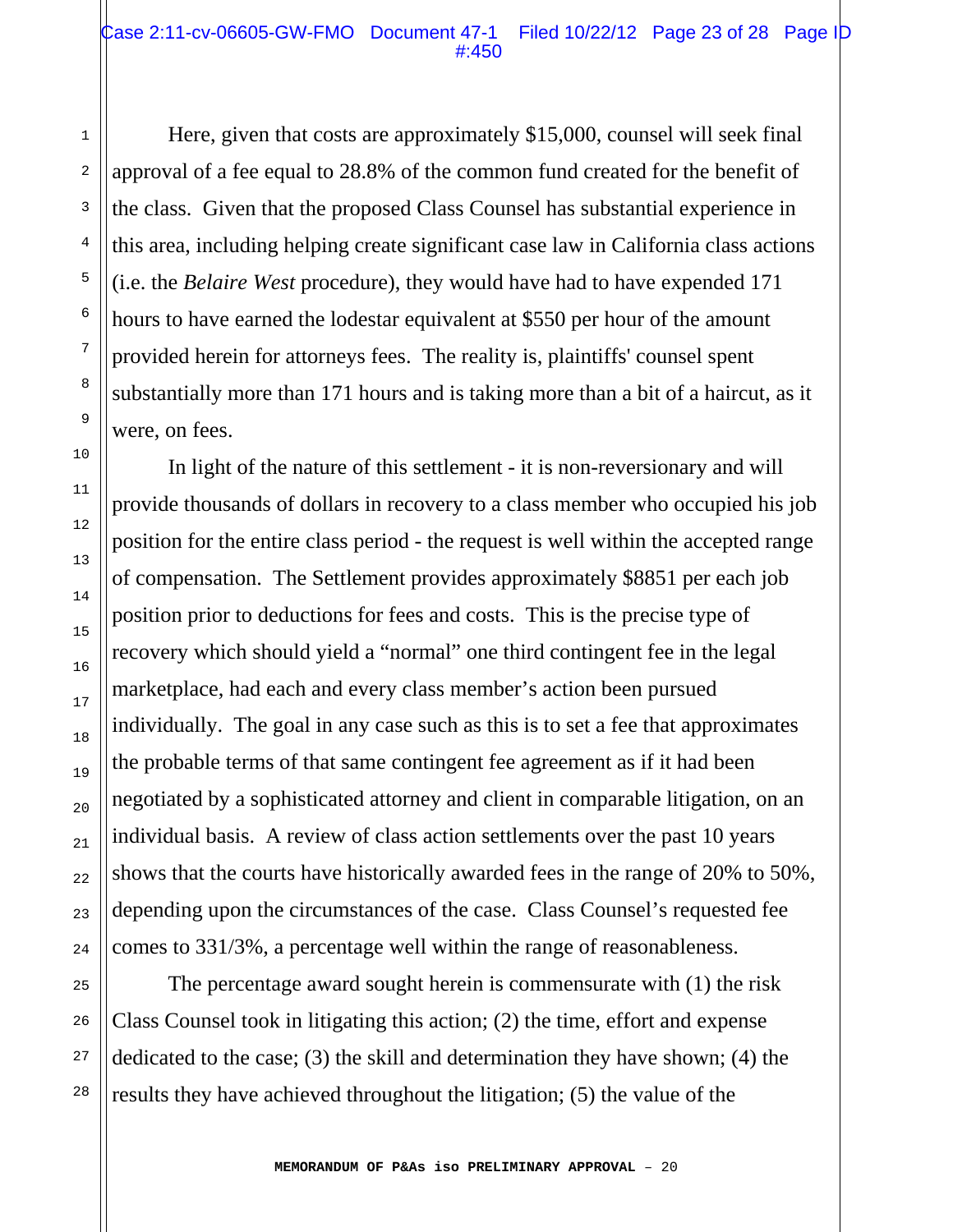#### Case 2:11-cv-06605-GW-FMO Document 47-1 Filed 10/22/12 Page 23 of 28 Page ID #:450

 Here, given that costs are approximately \$15,000, counsel will seek final approval of a fee equal to 28.8% of the common fund created for the benefit of the class. Given that the proposed Class Counsel has substantial experience in this area, including helping create significant case law in California class actions (i.e. the *Belaire West* procedure), they would have had to have expended 171 hours to have earned the lodestar equivalent at \$550 per hour of the amount provided herein for attorneys fees. The reality is, plaintiffs' counsel spent substantially more than 171 hours and is taking more than a bit of a haircut, as it were, on fees.

 In light of the nature of this settlement - it is non-reversionary and will provide thousands of dollars in recovery to a class member who occupied his job position for the entire class period - the request is well within the accepted range of compensation. The Settlement provides approximately \$8851 per each job position prior to deductions for fees and costs. This is the precise type of recovery which should yield a "normal" one third contingent fee in the legal marketplace, had each and every class member's action been pursued individually. The goal in any case such as this is to set a fee that approximates the probable terms of that same contingent fee agreement as if it had been negotiated by a sophisticated attorney and client in comparable litigation, on an individual basis. A review of class action settlements over the past 10 years shows that the courts have historically awarded fees in the range of 20% to 50%, depending upon the circumstances of the case. Class Counsel's requested fee comes to 331/3%, a percentage well within the range of reasonableness.

 The percentage award sought herein is commensurate with (1) the risk Class Counsel took in litigating this action; (2) the time, effort and expense dedicated to the case; (3) the skill and determination they have shown; (4) the results they have achieved throughout the litigation; (5) the value of the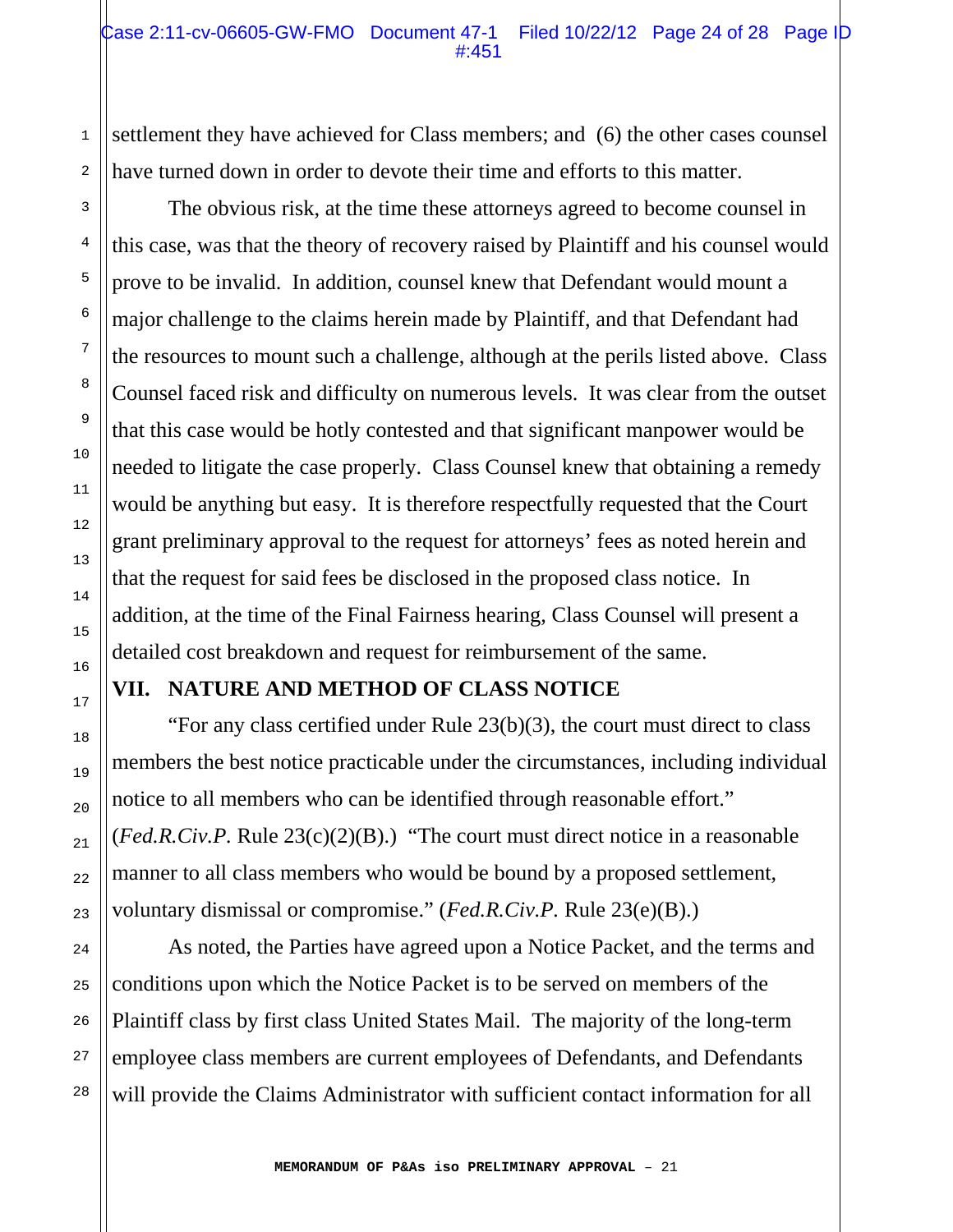settlement they have achieved for Class members; and (6) the other cases counsel have turned down in order to devote their time and efforts to this matter.

 The obvious risk, at the time these attorneys agreed to become counsel in this case, was that the theory of recovery raised by Plaintiff and his counsel would prove to be invalid. In addition, counsel knew that Defendant would mount a major challenge to the claims herein made by Plaintiff, and that Defendant had the resources to mount such a challenge, although at the perils listed above. Class Counsel faced risk and difficulty on numerous levels. It was clear from the outset that this case would be hotly contested and that significant manpower would be needed to litigate the case properly. Class Counsel knew that obtaining a remedy would be anything but easy. It is therefore respectfully requested that the Court grant preliminary approval to the request for attorneys' fees as noted herein and that the request for said fees be disclosed in the proposed class notice. In addition, at the time of the Final Fairness hearing, Class Counsel will present a detailed cost breakdown and request for reimbursement of the same.

## **VII. NATURE AND METHOD OF CLASS NOTICE**

 "For any class certified under Rule 23(b)(3), the court must direct to class members the best notice practicable under the circumstances, including individual notice to all members who can be identified through reasonable effort." (*Fed.R.Civ.P.* Rule 23(c)(2)(B).) "The court must direct notice in a reasonable manner to all class members who would be bound by a proposed settlement, voluntary dismissal or compromise." (*Fed.R.Civ.P.* Rule 23(e)(B).)

 As noted, the Parties have agreed upon a Notice Packet, and the terms and conditions upon which the Notice Packet is to be served on members of the Plaintiff class by first class United States Mail. The majority of the long-term employee class members are current employees of Defendants, and Defendants will provide the Claims Administrator with sufficient contact information for all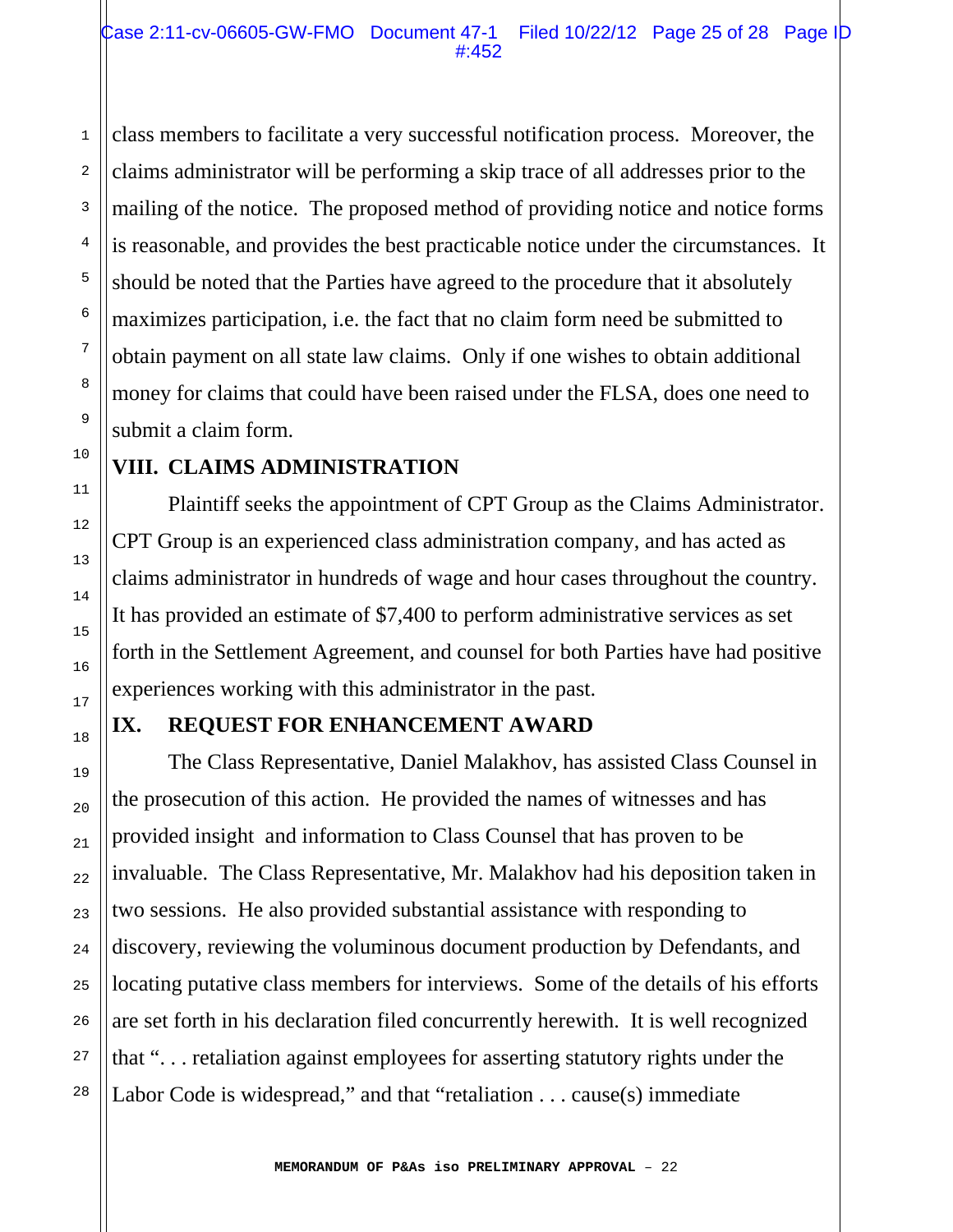class members to facilitate a very successful notification process. Moreover, the claims administrator will be performing a skip trace of all addresses prior to the mailing of the notice. The proposed method of providing notice and notice forms is reasonable, and provides the best practicable notice under the circumstances. It should be noted that the Parties have agreed to the procedure that it absolutely maximizes participation, i.e. the fact that no claim form need be submitted to obtain payment on all state law claims. Only if one wishes to obtain additional money for claims that could have been raised under the FLSA, does one need to submit a claim form.

#### **VIII. CLAIMS ADMINISTRATION**

 Plaintiff seeks the appointment of CPT Group as the Claims Administrator. CPT Group is an experienced class administration company, and has acted as claims administrator in hundreds of wage and hour cases throughout the country. It has provided an estimate of \$7,400 to perform administrative services as set forth in the Settlement Agreement, and counsel for both Parties have had positive experiences working with this administrator in the past.

# **IX. REQUEST FOR ENHANCEMENT AWARD**

 The Class Representative, Daniel Malakhov, has assisted Class Counsel in the prosecution of this action. He provided the names of witnesses and has provided insight and information to Class Counsel that has proven to be invaluable. The Class Representative, Mr. Malakhov had his deposition taken in two sessions. He also provided substantial assistance with responding to discovery, reviewing the voluminous document production by Defendants, and locating putative class members for interviews. Some of the details of his efforts are set forth in his declaration filed concurrently herewith. It is well recognized that ". . . retaliation against employees for asserting statutory rights under the Labor Code is widespread," and that "retaliation . . . cause(s) immediate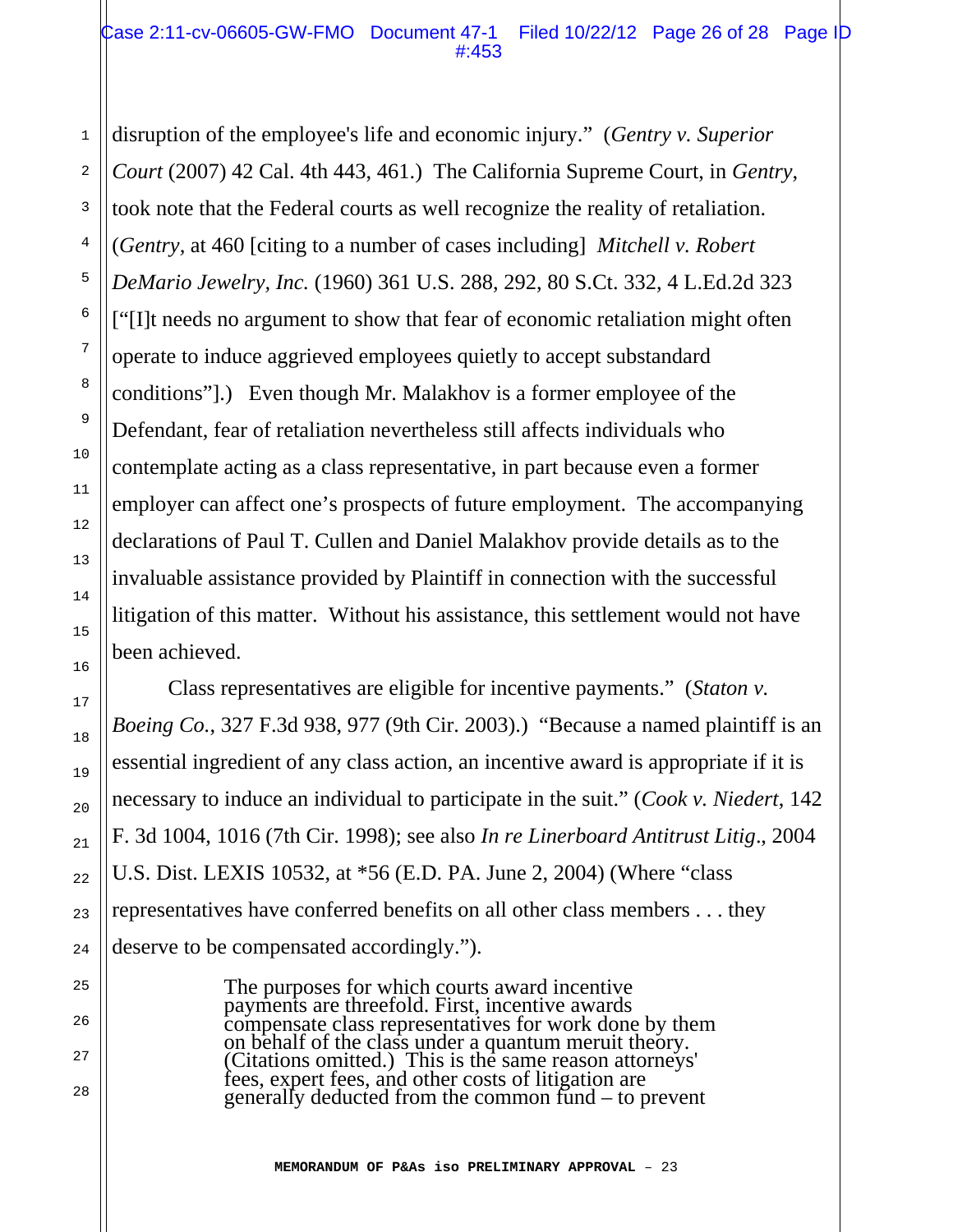1

2

3

4

5

6

7

8

9

10

11

12

13

14

15

16

17

18

19

20

21

22

23

24

25

26

27

28

disruption of the employee's life and economic injury." (*Gentry v. Superior Court* (2007) 42 Cal. 4th 443, 461.) The California Supreme Court, in *Gentry*, took note that the Federal courts as well recognize the reality of retaliation. (*Gentry,* at 460 [citing to a number of cases including] *Mitchell v. Robert DeMario Jewelry, Inc.* (1960) 361 U.S. 288, 292, 80 S.Ct. 332, 4 L.Ed.2d 323 ["[I]t needs no argument to show that fear of economic retaliation might often operate to induce aggrieved employees quietly to accept substandard conditions"].) Even though Mr. Malakhov is a former employee of the Defendant, fear of retaliation nevertheless still affects individuals who contemplate acting as a class representative, in part because even a former employer can affect one's prospects of future employment. The accompanying declarations of Paul T. Cullen and Daniel Malakhov provide details as to the invaluable assistance provided by Plaintiff in connection with the successful litigation of this matter. Without his assistance, this settlement would not have been achieved.

 Class representatives are eligible for incentive payments." (*Staton v. Boeing Co.*, 327 F.3d 938, 977 (9th Cir. 2003).) "Because a named plaintiff is an essential ingredient of any class action, an incentive award is appropriate if it is necessary to induce an individual to participate in the suit." (*Cook v. Niedert*, 142 F. 3d 1004, 1016 (7th Cir. 1998); see also *In re Linerboard Antitrust Litig*., 2004 U.S. Dist. LEXIS 10532, at \*56 (E.D. PA. June 2, 2004) (Where "class representatives have conferred benefits on all other class members . . . they deserve to be compensated accordingly.").

> The purposes for which courts award incentive payments are threefold. First, incentive awards compensate class representatives for work done by them<br>on behalf of the class under a quantum meruit theory. (Citations omitted.) This is the same reason attorneys'<br>fees, expert fees, and other costs of litigation are<br>generally deducted from the common fund – to prevent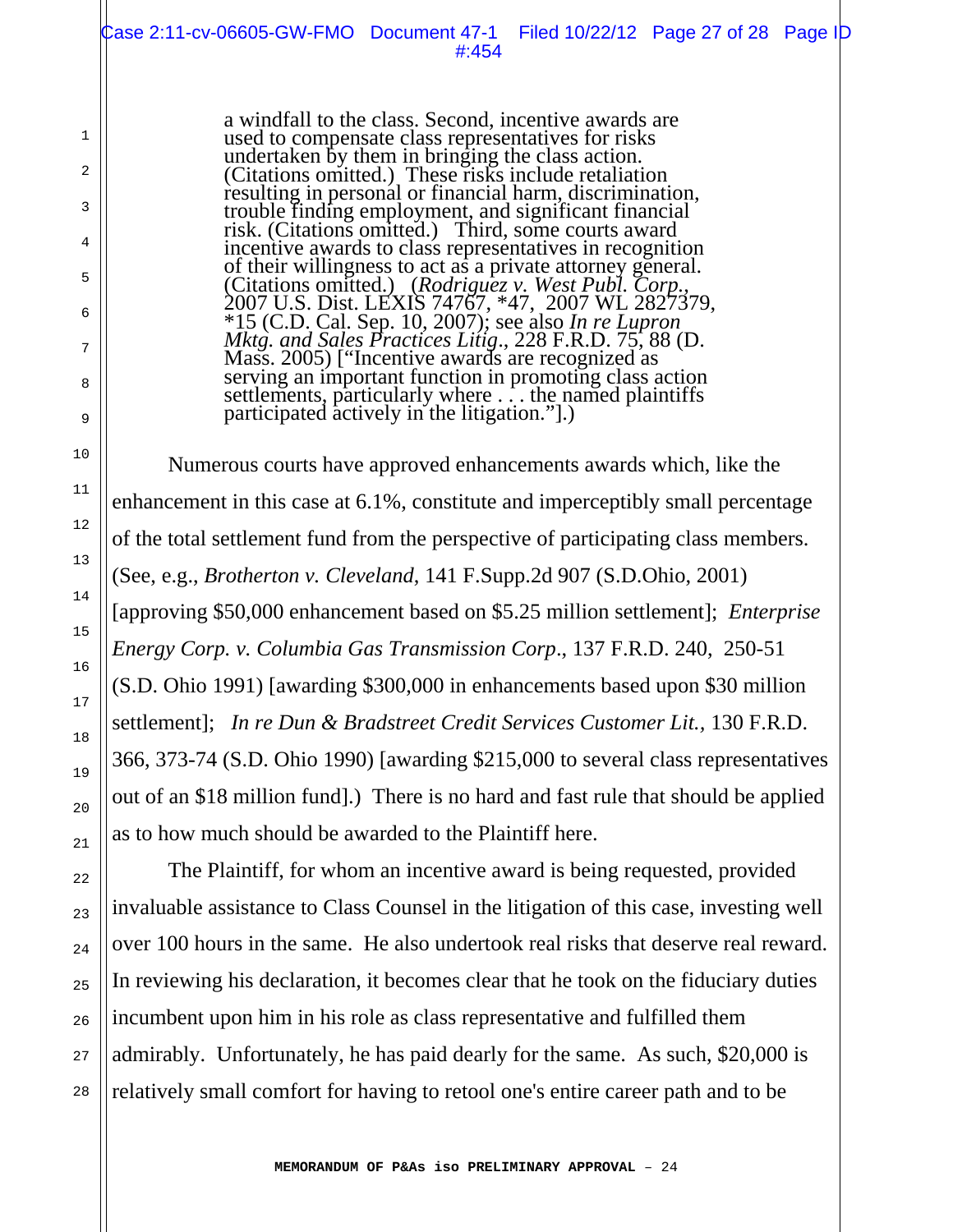a windfall to the class. Second, incentive awards are used to compensate class representatives for risks undertaken by them in bringing the class action. (Citations omitted.) These risks include retaliation resulting in personal or financial harm, discrimination, trouble finding employment, and significant financial risk. (Citations omitted.) Third, some courts award incentive awards to class representatives in recognition of their willingness to act as a private attorney general. of their willingness to act as a private attorney general. (Citations omitted.) (*Rodriguez v. West Publ. Corp.*, 2007 U.S. Dist. LEXIS 74767, \*47, 2007 WL 2827379, \*15 (C.D. Cal. Sep. 10, 2007); see also *In re Lupron Mktg. and Sales Practices Litig*., 228 F.R.D. 75, 88 (D. Mass. 2005) ["Incentive awards are recognized as serving an important function in promoting class action serving an important function in promoting class action<br>settlements, particularly where ... the named plaintiffs participated actively in the litigation."].)

1

2

3

4

5

6

7

8

9

10

11

12

13

14

15

16

17

18

19

20

21

22

23

24

25

26

27

28

 Numerous courts have approved enhancements awards which, like the enhancement in this case at 6.1%, constitute and imperceptibly small percentage of the total settlement fund from the perspective of participating class members. (See, e.g., *Brotherton v. Cleveland*, 141 F.Supp.2d 907 (S.D.Ohio, 2001) [approving \$50,000 enhancement based on \$5.25 million settlement]; *Enterprise Energy Corp. v. Columbia Gas Transmission Corp*., 137 F.R.D. 240, 250-51 (S.D. Ohio 1991) [awarding \$300,000 in enhancements based upon \$30 million settlement]; *In re Dun & Bradstreet Credit Services Customer Lit.,* 130 F.R.D. 366, 373-74 (S.D. Ohio 1990) [awarding \$215,000 to several class representatives out of an \$18 million fund].) There is no hard and fast rule that should be applied as to how much should be awarded to the Plaintiff here.

 The Plaintiff, for whom an incentive award is being requested, provided invaluable assistance to Class Counsel in the litigation of this case, investing well over 100 hours in the same. He also undertook real risks that deserve real reward. In reviewing his declaration, it becomes clear that he took on the fiduciary duties incumbent upon him in his role as class representative and fulfilled them admirably. Unfortunately, he has paid dearly for the same. As such, \$20,000 is relatively small comfort for having to retool one's entire career path and to be